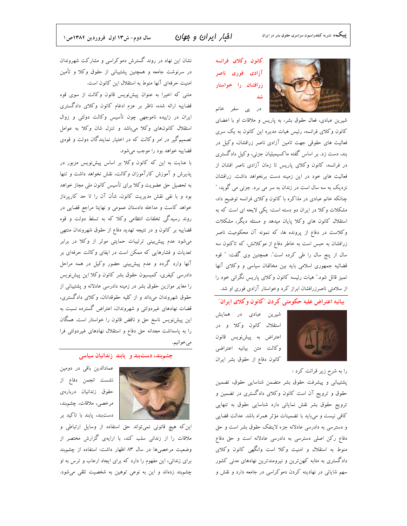# افبار ایران و موان

كانون وكلاى فرانسه آزادی فوری ناصر زرافشان را خواستار شد

در پی سفر خانم



شیرین عبادی، فعال حقوق بشر، به پاریس و ملاقات او با اعضای کانون وکلای فرانسه، رئیس هیات مدیره این کانون به یک سری فعالیت های حقوقی جهت تامین آزادی ناصر زرافشان، وکیل در بند، دست زد. بر اساس گفته ماکسیمیلیان جزنی، وکیل دادگستری در فرانسه، کانون وکلای پاریس تا زمان آزادی ناصر افشان از فعالیت های خود در این زمینه دست برنخواهد داشت. زرافشان نزدیک به سه سال است در زندان به سر می برد. جزنی می گوید: " چنانکه خانم عبادی در مذاکره با کانون وکلای فرانسه توضیح داد، مشکلات وکلا در ایران دو دسته است: یکی لایحه ای است که به استقلال کانون های وکلا پایان میدهد و مسئله دیگر، مشکلات وکلاست در دفاع از پرونده ها، که نمونه آن محکومیت ناصر زرافشان به حبس است به خاطر دفاع از موكلانش، كه تاكنون سه سال از پنج سال را طی کرده است". همچنین وی گفت: " قوه قضائیه جمهوری اسلامی باید بین مخالفان سیاسی و وکلای آنها تمیز قائل شود.″ هیات رئیسه کانون وکلای پاریس نگرانی خود را از سلامتی ناصرزرافشان ابراز کرد وخواستار آزادی فوری او شد.

# بیانیه اعتراض علیه حکومتی کردن "کانون و کلای ایران"



شیرین عبادی در همایش استقلال كانون وكلا و در اعتراض به پیشنویس قانون وكالت متن بيانيه اعتراضي كانون دفاع از حقوق بشر ايران

را به شرح زیر قرائت کرد :

پشتیبانی و پیشرفت حقوق بشر متضمن شناسایی حقوق، تضمین حقوق و ترویج آن است کانون وکلای دادگستری در تضمین و ترویج حقوق بشر نقش نمایانی دارد شناسایی حقوق به تنهایی كافي نيست و ميبايد با تضمينات مؤثر همراه باشد. عدالت قضايي و دسترسی به دادرسی عادلانه جزء لاینفک حقوق بشر است و حق دفاع رکن اصلی دسترسی به دادرسی عادلانه است و حق دفاع منوط به استقلال و امنیت وکلا است وانگهی کانون وکلای دادگستری به مثابه کهن ترین و نیرومندترین نهادهای مدنی کشور سهم شایانی در نهادینه کردن دموکراسی در جامعه دارد و نقش و

نشان این نهاد در روند گسترش دموکراسی و مشارکت شهروندان در سرنوشت جامعه و همچنین پشتیبانی از حقوق وکلا و تأمین امنیت حرفهای آنها منوط به استقلال این کانون است. متنی که اخیرا به عنوان پیشنویس قانون وکالت از سوی قوه قضاییه ارائه شده، ناظر بر عزم ادغام کانون وکلای دادگستری ایران در زاییده ناموجهی چون تأسیس وکالت دولتی و زوال

استقلال كانونهاى وكلا مىباشد وتنزل شان وكلابه عوامل تصمیم گیر در امر وکالت که در اختیار نمایندگان دولت و قوهی قضاییه خواهد بود را موجب میشود.

با عنایت به این که کانون وکلا بر اساس پیشنویس مزبور در پذیرش و آموزش کارآموزان وکالت، نقش نخواهد داشت و تنها به تحصیل حق عضویت وکلا برای تأسیس کانون ملی مجاز خواهد بود و با نفی نقش مدیریت کانون، شأن آن را تا حد کارپرداز خواهد كاست و مداخله دادستان عمومي و نهايتا مراجع قضايي در روند رسیدگی تخلفات انتظامی وکلا که به تسلط دولت و قوه قضاییه بر کانون و در نتیجه تهدید دفاع از حقوق شهروندان منتهی میشود عدم پیش بینی ترتیبات حمایتی موثر از وکلا در برابر تعدیات و فشارهایی که ممکن است در ایفای وکالت حرفهای بر آنها وارد گردد و عدم پیشبینی حضور وکیل در همه مراحل دادرسی کیفری، کمیسیون حقوق بشر کانون وکلا این پیش نویس را مغایر موازین حقوق بشر در زمینه دادرسی عادلانه و پشتیبانی از حقوق شهروندان مىداند و از كليه حقوقدانان، وكلاى دادگسترى، قضات نهادهای غیردولتی و شهروندان، اعتراض گسترده نسبت به این پیشنویس ناسخ حق و ناقض قانون را خواستار است. همگان را به پاسداشت مجدانه حق دفاع و استقلال نهادهای غیردولتی فرا ميخوانيم.

#### چشم بند، دست بند و پابند زندانیان سیاسی



عمادالدین باقی در دومین نشست انجمن دفاع از حقوق زندانيان دربارهى مرخصی، ملاقات، چشمېند، دستبند، پابند با تاکید بر

این که هیچ قانونی نمیتواند حق استفاده از وسایل ارتباطی و ملاقات را از زندانی سلب کند، با ارایهی گزارش مختصر از وضعیت مرخصیها در سال ۸۳ اظهار داشت: استفاده از چشم بند برای زندانی، این مفهوم را دارد که برای ایجاد ارعاب و ترس به او چشمېند زدهاند و اين به نوعي توهين به شخصيت تلقى مى شود.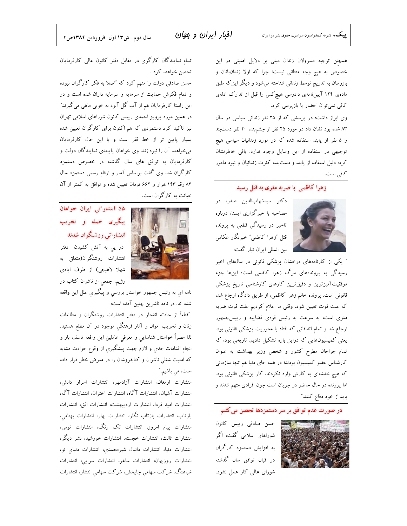همچنن توجیه مسوولان زندان مبنی بر دلایل امنیتی در این خصوص به هیچ وجه منطقی نیست؛ چرا که اولا زندانبانان و بازرسان به تدریج توسط زندانی شناخته میشود و دیگر این که طبق ماده ی ۱۲۴ آییننامهی دادرسی هیچ کس را قبل از تدارک ادلهی کافی نمیتوان احضار یا بازپرسی کرد.

وی ابراز داشت: در پرسشی که از ۲۵ نفر زندانی سیاسی در سال ۸۳ شده بود نشان داد در مورد ۲۵ نفر از چشم بند، ۲۰ نفر دست بند و ۵ نفر از پابند استفاده شده که در مورد زندانیان سیاسی هیچ توجیهی در استفاده از این وسایل وجود ندارد. باقی خاطرنشان کرد: دلیل استفاده از پابند و دستبند، کثرت زندانیان و نبود مامور كافي است.

زهرا کاظمی با ضربه مغزی به قتل رسید



دکتر سیدشهابالدین صدر، در مصاحبه با خبرگزاری ایسنا، درباره تاخیر در رسیدگی قطعی به پرونده قتل "زهرا كاظمى" خبرنگار عكاس بین المللی ایران تبار گفت:

" یکی از کارنامههای درخشان پزشکی قانونی در سالهای اخیر رسیدگی به پروندههای مرگ زهرا کاظمی است؛ اینها جزء موفقیتآمیزترین و دقیقترین کارهای کارشناسی تاریخ پزشکی قانونی است. پرونده خانم زهرا کاظمی، از طریق دادگاه ارجاع شد، كه علت فوت تعيين شود. وقتى ما اعلام كرديم علت فوت ضربه مغزی است، به سرعت به رئیس قوهی قضاییه و رییسجمهور ارجاع شد و تمام اتفاقاتی که افتاد با محوریت پزشکی قانونی بود. یعنی کمیسیونهایی که دراین باره تشکیل دادیم. تاریخی بود، که تمام جراحان مطرح كشور و شخص وزير بهداشت به عنوان کارشناس عضو کمیسیون بودند؛ در همه جای دنیا هم تنها سازمانی که هیچ خدشهای به کارش وارد نکردند، کار پزشکی قانونی بود. اما پرونده در حال حاضر در جریان است چون افرادی متهم شدند و باید از خود دفاع کنند."

#### در صورت عدم توافق بر سر دستمزدها تحصن می کنیم

حسن صادقی رییس کانون شوراهای اسلامی گفت: اگر به افزایش دستمزد کارگران در قبال توافق سال گذشته شورای عالی کار عمل نشود،

تمام نمایندگان کارگری در مقابل دفتر کانون عالی کارفرمایان تحصن خواهند کرد .

حسن صادقی دولت را متهم کرد که "اصلا به فکر کارگران نبوده و تمام فکرش حمایت از سرمایه و سرمایه داران شده است و در این راستا کارفرمایان هم از آب گل آلود به خوبی ماهی می گیرند" در همین مورد پرویز احمدی رییس کانون شوراهای اسلامی تهران نیز تاکید کرد دستمزدی که هم اکنون برای کارگران تعیین شده بسیار پایین تر از خط فقر است و با این حال کارفرمایان میخواهند آن را نپردازند. وی خواهان پایبندی نمایندگان دولت و کارفرمایان به توافق های سال گذشته در خصوص دستمزد کارگران شد. وی گفت براساس آمار و ارقام رسمی دستمزد سال ۸۴ رقم ۱۴۳ هزار و ۶۶۲ تومان تعیین شده و توافق به کمتر از آن خیانت به کارگران است.



۵۵ انتشاراتی ایران خواهان پیگیری حمله و تخریب انتشاراتی روشنگران شدند

در یی به آتش کشیدن دفتر انتشارات روشنگران(متعلق به شهلا لاهیجی) از طرف ایادی رژیم، جمعی از ناشران کتاب در

نامه اي به رئيس جمهور خواستار بررسي و پيگيري علل اين واقعه شده اند. در نامه ناشرین چنین آمده است:

"قطعاً از حادثه انفجار در دفتر انتشارات روشنگران و مطالعات زنان و تخریب اموال و آثار فرهنگی موجود در آن مطلع هستید. لذا مصراً خواستار شناسایی و معرفی عاملین این واقعه تاسف بار و انجام اقدامات جدي و لازم جهت پیشگیري از وقوع حوادث مشابه که امنیت شغلی ناشران و کتابفروشان را در معرض خطر قرار داده است، می باشیم."

انتشارات ارمغان، انتشارات آزادمهر، انتشارات اسرار دانش، انتشارات آشیان، انتشارات آگاه، انتشارات اختران، انتشارات آگه، انتشارات اميد فردا، انتشارات ارديبهشت، انتشارات افق، انتشارات بازتاب، انتشارات بازتاب نگار، انتشارات بهار، انتشارات بهنامي، انتشارات پیام امروز، انتشارات تک رنگ، انتشارات توس، انتشارات ثالث، انتشارات خجسته، انتشارات خورشید، نشر دیگر، انتشارات دنیا، انتشارات دانیال شیرمحمدی، انتشارات دنیای نو، انتشارات روزبهان، انتشارات ساغر، انتشارات سرايي، انتشارات شباهنگ، شرکت سهامی چاپخش، شرکت سهامی انتشار، انتشارات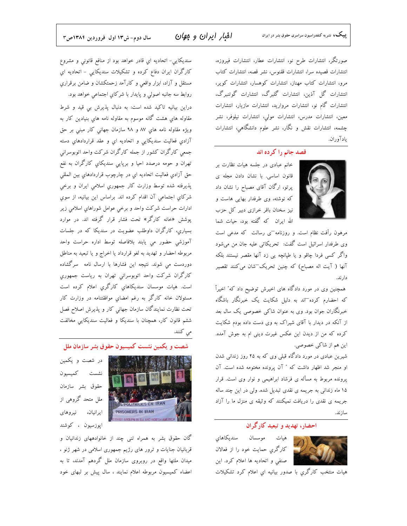افبار ایران و موان

صورتگر، انتشارات طرح نو، انتشارات عطار، انتشارات فیروزه، انتشارات قصيده سرا، انتشارات ققنوس، نشر قصه، انتشارات كتاب مرو، انتشارات كتاب مهناز، انتشارات كوهسار، انتشارات كوير، انتشارات گل آذین، انتشارات گلبرگ، انتشارات گوتنبرگ، انتشارات گام نو، انتشارات مروارید، انتشارات مازیار، انتشارات معین، انتشارات مدرس، انتشارات مولی، انتشارات نیلوفر، نشر چشمه، انتشارات نقش و نگار، نشر علوم دانشگاهی، انتشارات يادآوران.

### قصد جانم را كرده اند



مرهون رأفت نظام است. و روزنامه $_2$  رسالت که مدعی است وی طرفدار اسرائیل است گفت: تحریکاتی علیه جان من میشود واگر کسی فردا چاقو و یا طپانچه یی زد آنها مقصر نیستند بلکه آنها ( آیت اله مصباح) که چنین تحریک־شان میکنند تقصیر دارند.

همچنین وی در مورد دادگاه های اخیرش توضیح داد که" اخیراً که احضارم کرده<sup>—</sup>اند به دلیل شکایت یک خبرنگار باشگاه خبرنگاران جوان بود. وی به عنوان شاکی خصوصی یک سال بعد از آنکه در دیدار با آقای شیراک به وی دست داده بودم شکایت کرده که من از دیدن این عکس غیرت دینی ام به جوش آمده.

شیرین عبادی در مورد دادگاه قبلی وی که به ۲۵ روز زندانی شدن پرونده مربوط به مسأله ی فرشاد ابراهیمی و نوار وی است. قرار ۱۵ ماه زندانی به جریمه ی نقدی تبدیل شده. ولی در این چند ساله ساز ند.

### احضار، تهدید و تبعید کارگران

هيات موسسان سنديكاهاي

خانم عبادی در جلسه هیات نظارت بر پرتو، ارگان آقای مصباح را نشان داد

این هم از شاکی خصوصی.

او منجر شد اظهار داشت که " آن پرونده مختومه شده است. آن جریمه ی نقدی را دریافت نمیکنند که وثیقه ی منزل ما را آزاد

کارگری حمایت خود را از فعالان صنفي و اتحادیه ها اعلام کرد. این

هیات منتخب کارگری با صدور بیانیه ای اعلام کرد تشکیلات

سنديكايي- اتحاديه اي قادر خواهد بود از منافع قانوني و مشروع کارگران ايران دفاع کرده و تشکيلات سنديکايي – اتحاديه اي مستقل و آزاد، ابزار واقعی و کارآمد زحمتکشان و ضامن برقراری روابط سه جانبه اصولي و پايدار با شركاي اجتماعي خواهد بود. دراین بیانیه تاکید شده است: به دنبال پذیرش بی قید و شرط مقاوله هاي هشت گانه موسوم به مقاوله نامه هاي بنيادين كار به ويژه مقاوله نامه هاي ۸۷ و ۹۸ سازمان جهاني کار مبني بر حق آزادي فعاليت سنديكايي و اتحاديه اي و عقد قراردادهاي دسته جمعی کارگران کشور از جمله کارگران شرکت واحد اتوبوسرانی تهران و حومه درصدد احیا و برپایی سندیکای کارگران به نفع حق آزادي فعاليت اتحاديه اي در چارچوب قراردادهاي بين المللي پذيرفته شده توسط وزارت كار جمهوري اسلامي ايران و برخي شركاي اجتماعي آن اقدام كرده اند. براساس اين بيانيه، از سوي ادارات حراست شرکت واحد و برخی عوامل شوراهای اسلامی زیر پوشش «خانه کارگر» تحت فشار قرار گرفته اند. در موارد بسیاری، کارگران داوطلب عضویت در سندیکا که در جلسات آموزشی حضور می یابند بلافاصله توسط اداره حراست واحد مربوطه احضار و تهديد به لغو قرارداد يا اخراج و يا تبعيد به مناطق دوردست می شوند. نتیجه این فشارها با ارسال نامه ً سرگشاده کارگران شرکت واحد اتوبوسراني تهران به رياست جمهوري است. هیات موسسان سندیکاهایِ کارگریِ اعلام کرده است مسئولان خانه کارگر به رغم امضاي موافقتنامه در وزارت کار تحت نظارت نمایندگان سازمان جهانی کار و پذیرش اصلاح فصل ششم قانون کار، همچنان با سندیکا و فعالیت سندیکایی مخالفت می کنند.

بون حقوق بشر سازمان ملل

در شصت و یکمین نشست كميسيون حقوق بشر سازمان ملل متحد گروهی از ايرانيان، نيروهاي ايوزسيون ، كوشند

گان حقوق بشر به همراه تنی چند از خانوادههای زندانیان و قربانیان جنایات و ترور های رژیم جمهوری اسلامی در شهر ژنو ، میدان ملتها واقع در روبروی سازمان ملل گردهم آمدند، تا به اعضاء كميسيون مربوطه اعلام نمايند ، سال پيش بر لبهاى خود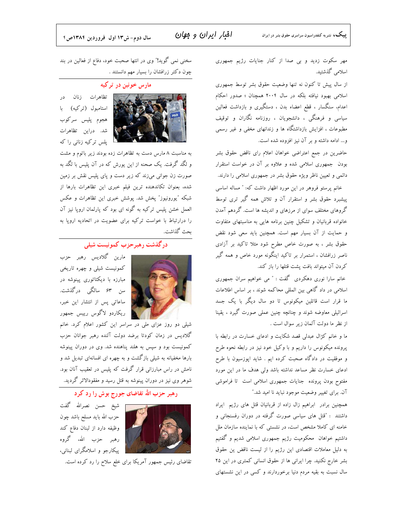افبار ایران و موان

مهر سکوت زدید و بی صدا از کنار جنایات رژیم جمهوری اسلامی گذشتید.

از سال پیش تا کنون نه تنها وضعیت حقوق بشر توسط جمهوری اسلامی بهبود نیافته بلکه در سال ۲۰۰۴ همچنان ؛ صدور احکام اعدام، سنگسار ، قطع اعضاء بدن ، دستگیری و بازداشت فعالین سیاسی و فرهنگی ، دانشجویان ، روزنامه نگاران و توقیف مطبوعات ، افزایش بازداشتگاه ها و زندانهای مخفی و غیر رسمی و... ادامه داشته و بر آن نیز افزوده شده است.

حاضرین در جمع اعتراضی خواهان اعلام رای ناقض حقوق بشر بودن جمهوری اسلامی شده و علاوه بر آن در خواست استقرار دائمی و تعیین ناظر ویژه حقوق بشر در جمهوری اسلامی را دارند.

خانم پرستو فروهر در این مورد اظهار داشت که: " مساله اساسی پیشبرد حقوق بشر و استقرار آن و تلاش همه گیر تری توسط گروهای مختلف سوای از مرزهای و اندیشه ها است. گردهم آمدن خانواده قربانیان و تشکیل چنین برنامه هایی به مناسبتهای متفاوت و حمایت از آن بسیار مهم است. همچنین باید سعی شود نقض حقوق بشر ، به صورت خاص مطرح شود مثلا تاکید بر آزادی ناصر زرافشان ، استمرار بر تاکید اینگونه مورد خاص و همه گیر كردن آن ميتواند بافت پشت قتلها را باز كند.

خانم سارا نوری دهکردی گفت : " می خواهیم سران جمهوری اسلامی در داد گاهی بین المللی محاکمه شوند ، بر اساس اطلاعات ما قرار است قاتلین میکونوس تا دو سال دیگر با یک جسد اسرائیلی معاوضه شوند و چنانچه چنین عملی صورت گیرد ، یقینا از نظر ما دولت آلمان زیر سوال است .

ما و خانم کژال عبدلی قصد شکایت و ادعای خسارت در رابطه با پرونده میکونوس را داریم و با وکیل خود نیز در رابطه نحوه طرح و موفقیت در دادگاه صحبت کرده ایم . شاید اپوزسیون با طرح ادعای خسارت نظر مساعد نداشته باشد ولی هدف ما در این مورد مفتوح بودن پرونده جنایات جمهوری اسلامی است تا فراموشی آن. برای تغییر وضعیت موجود نباید نا امید شد."

همچنین برادر ابراهیم زال زاده از قربانیان قتل های رژیم ایراد داشتند : "قتل های سیاسی صورت گرفته در دوران رفسنجانی و خامنه ای کاملا مشخص است، در نشستی که با نماینده سازمان ملل داشتیم خواهان ً محکومیت رژیم جمهوری اسلامی شدیم و گفتیم به دلیل معاملات اقتصادی این رژیم را از لیست ناقض ین حقوق بشر خارج نکنید. چرا ایرانی ها از حقوق انسانی کمتری در این ۲۵ سال نسبت به بقیه مردم دنیا برخوردارند و کسی در این نشستهای

سخنی نمی گوید!" وی در انتها صحبت خود، دفاع از فعالین در بند چون دکتر زرافشان را بسیار مهم دانستند .

#### مارس خونین در ترکیه



تظاهرات زنان در استامبول (تركيه) با ہجوم پلیس سرکوب شد. دراین تظاهرات پلس ترکیه زنانی را که

به مناسبت ۸ مارس دست به تظاهرات زده بودند زیر باتوم و مشت و لگد گرفت. یک صحنه از این یورش که در آن پلیس با لگد به صورت زن جوانی میزند که زیر دست و پای پلیس نقش بر زمین شده، بعنوان تكاندهنده ترين فيلم خبرى اين تظاهرات بارها از شبکه "یورونیوز" پخش شد. پوشش خبری این تظاهرات و عکس العمل خشن پلیس ترکیه به گونه ای بود که پارلمان اروپا نیز آن را درارتباط با خواست ترکیه برای عضویت در اتحادیه اروپا به بحث گذاشت.

# د, گذشت , هبر حزب کمونیست شیلی



مارین گلادیس رهبر حزب کمونیست شیلی و چهره تاریخی مبارزه با دیکتاتوری پینوشه در سن ۶۳ سالگی درگذشت. ساعاتی پس از انتشار این خبر، ریکاردو لاگوس رییس جمهور

شیلی دو روز عزای ملی در سراسر این کشور اعلام کرد. خانم گلادیس در زمان کودتا برضد دولت آلنده رهبر جوانان حزب کمونیست بود و سپس به هلند پناهنده شد. وی در دوران پینوشه بارها مخفیانه به شیلی بازگشت و به چهره ای افسانهای تبدیل شد و نامش در راس مبارزانی قرار گرفت که پلیس در تعقیب آنان بود. شوهر وی نیز در دوران پینوشه به قتل رسید و مفقودالاثر گردید.

# رهبر حزب الله تقاضای جورج بوش را رد کرد

شيخ حسن نصرالله گفت حزب الله بايد مسلح باشد چون وظيفه دارد از لبنان دفاع كند رهبر حزب الله، گروه پیکارجو و اسلامگرای لبنانی،

تقاضای رئیس جمهور آمریکا برای خلع سلاح را رد کرده است.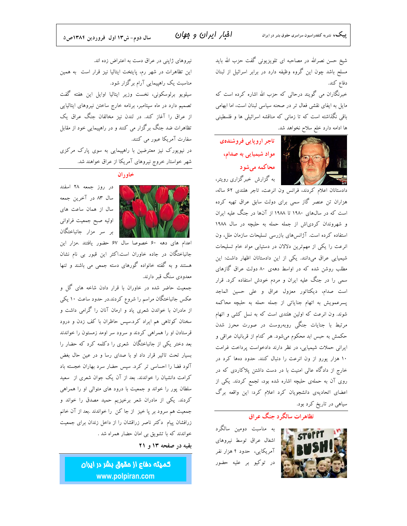# افبار ايران و مهان

سال دوم- ش۱۳ اول فروردین ۱۳۸۴ص۵

شیخ حسن نصرالله در مصاحبه ای تلویزیونی گفت حزب الله باید مسلح باشد چون این گروه وظیفه دارد در برابر اسرائیل از لبنان دفاع كند.

خبرنگاران می گویند درحالی که حزب الله اشاره کرده است که مایل به ایفای نقشی فعال تر در صحنه سیاسی لبنان است، اما ابهامی باقی نگذاشته است که تا زمانی که مناقشه اسرائیلی ها و فلسطینی ها ادامه دارد خلع سلاح نخواهد شد.



تاجر اروپایی فروشندهی مواد شیمیایی به صدام، محاکمه می شو د به گزارش خبرگزاری رویتر،

دادستانان اعلام کردند، فرانس ون انرعت، تاجر هلندی ۶۲ ساله، هزاران تن عنصر گاز سمی برای دولت سابق عراق تهیه کرده است که در سال@ای ۱۹۸۰ تا ۱۹۸۸ از آنها در جنگ علیه ایران و شهروندان کردی!ش از جمله حمله به حلبچه در سال ۱۹۸۸ استفاده کرده است. آژانسهای بازرسی تسلیحات سازمان ملل، ون انرعت را یکی از مهمترین دلالان در دستیابی مواد خام تسلیحات شیمیایی عراق میدانند. یکی از این دادستانان اظهار داشت: این مطلب روشن شده که در اواسط دههی ۸۰ دولت عراق گازهای سمی را در جنگ علیه ایران و مردم خودش استفاده کرد. قرار است صدام، ديكتاتور معزول عراق و على حسين الماجد پسرعمویش به اتهام جنایاتی از جمله حمله به حلبچه محاکمه شوند. ون انرعت که اولین هلندی است که به نسل کشی و اتهام مرتبط با جنایات جنگی روبهروست در صورت محرز شدن حکمش به حبس ابد محکوم میشود. هر کدام از قربانیان عراقی و ایرانی حملات شیمیایی، در نظر دارند دادخواست پرداخت غرامت ۱۰ هزار یورو از ون انرعت را دنبال کنند. حدود دهها کرد در خارج از دادگاه عالی امنیت با در دست داشتن پلاکاردی که در روی آن به حملهی حلبچه اشاره شده بود، تجمع کردند. یکی از اعضای اتحادیهی دانشجویان کرد اعلام کرد: این واقعه برگ سیاهی در تاریخ کرد بود.

# نظاه ات سالگ د حنگ عراق

به مناسبت دومین سالگرد اشغال عراق توسط نيروهاى آمریکایی، حدود ۴ هزار نفر در توکیو بر علیه حضور



نیروهای ژاپنی در عراق دست به اعتراض زده اند. این تظاهرات در شهر رم، پایتخت ایتالیا نیز قرار است به همین مناسبت یک راهپیمایی آرام برگزار شود. سیلویو برلوسکونی، نخست وزیر ایتالیا اوایل این هفته گفت تصمیم دارد در ماه سپتامبر، برنامه خارج ساختن نیروهای ایتالیایی از عراق را آغاز کند. در لندن نیز مخالفان جنگ عراق یک تظاهرات ضد جنگ برگزار می کنند و در راهپیمایی خود از مقابل سفارت آمریکا عبور می کنند. در نیویورک نیز معترضین با راهپیمایی به سوی پارک مرکزی شهر خواستار خروج نیروهای آمریکا از عراق خواهند شد.



در روز جمعه ۲۸ اسفند سال ۸۳ در آخرین جمعه سال از همان ساعت های اوليه صبح جمعيت فراواني بر سر مزار جانباختگان

اعدام های دهه ۶۰ خصوصا سال ۶۷ حضور یافتند .مزار این جانباختگان در جاده خاوران است.اکثر این قبور بی نام نشان هستند و به گفته خانواده گورهای دسته جمعی می باشند و تنها معدودی سنگ قبر دارند.

جمعیت حاضر شده در خاوران با قرار دادن شاخه های گل و عکس جانباختگان مراسم را شروع کردند.در حدود ساعت ۱۰ یکی از مادران با خواندن شعری یاد و ارمان آنان را گرامی داشت و سخنان کوتاهی هم ایراد کرد.سپس حاظران با کف زدن و درود قرستادن او را همراهی کردند و سرود سر اومد زمستون را خواندند بعد دختر یکی از جانباختگان شعری را دکلمه کرد که حضار را بسیار تحت تاثیر قرار داد او با صدای رسا و در عین حال بغض آلود فضا را احساسی تر کرد. سپس حضار سرد بهاران خجسته باد کرامت دانشیان را خواندند. بعد از آن یک جوان شعری از سعید سلطان پور را خواند و جمعیت با درود های متوالی او را همراهی کردند. یکی از مادران شعر برخیزیم حمید مصدق را خواند و جمعیت هم سرود بر پا خیز از جا کن را خواندند .بعد از آن خانم زرافشان پیام ًدکتر ناصر زراقشان را از داخل زندان برای جمعیت خواندند که با تشویق بی امان حضار همراه شد .

#### بقیه در صفحه ۱۳ و ۲۱

كميته دفاع از مقوق بشر در ايران www.polpiran.com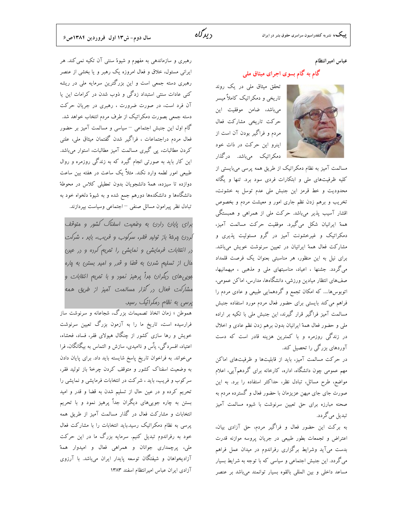# دىدگاە

عباس اميرانتظام

# گام به گام بسوی اجرای میثاق ملی



مسالمت آمیز به نظام دمکراتیک از طریق همه پرسی میبایستی از کلیه ظرفیتهای ملی و ابتکارات فردی سود برد. تنها و یگانه محدودیت و خط قرمز این جنبش ملی عدم توسل به خشونت، تخریب و برهم زدن نظم جاری امور و معیشت مردم و بخصوص اقشار آسیب پذیر میباشد. حرکت ملی از همراهی و همبستگی همهٔ ایرانیان شکل میگیرد. موفقیت حرکت مسالمت آمیز، دمکراتیک و غیرخشونت آمیز در گرو مسئولیت پذیری و مشارکت فعال همهٔ ایرانیان در تعیین سرنوشت خویش میباشد. برای نیل به این منظور، هر مناسبتی بعنوان یک فرصت قلمداد میگردد. جشنها ، اعیاد، مناسبتهای ملی و مذهبی ، میهمانیها، صف@ای انتظار میادین ورزشی، دانشگاهها، مدارس، اماکن عمومی، اتوبوسها.... که امکان تجمع و گردهمایی طبیعی و عادی مردم را فراهم می کند بایستی برای حضور فعال مردم مورد استفاده جنبش مسالمت آمیز فراگیر قرار گیرند، این جنبش ملی با تکیه بر اراده ملی و حضور فعال همهٔ ایرانیان بدون برهم زدن نظم عادی و اخلال در زندگی روزمره و با کمترین هزینه قادر است که دست آوردهای بزرگی را تحصیل کند.

در حرکت مسالمت آمیز، باید از قابلیتها و ظرفیتهای اماکن مهم عمومی چون دانشگاه، اداره، کارخانه برای گردهمآیی، اعلام مواضع، طرح مسائل، تبادل نظر، حداكثر استفاده را برد. به اين صورت جای جای میهن عزیزمان با حضور فعال و گسترده مردم به صحنه مبارزه برای حق تعیین سرنوشت با شیوه مسالمت آمیز تبدیل می گر دد.

به بركت اين حضور فعال و فراگير مردم، حق آزادي بيان، اعتراض و تجمعات بطور طبیعی در جریان پروسه موازنه قدرت بدست میآید وشرایط برگزاری رفراندوم در میدان عمل فراهم می گردد. این جنبش اجتماعی و سیاسی که با توجه به شرایط بسیار مساعد داخلی و بین المللی بالقوه بسیار توانمند میباشد بر عنصر

رهبری و سازماندهی به مفهوم و شیوهٔ سنتی آن تکیه نمی کند. هر ایرانی مسئول، خلاق و فعال امروزه یک رهبر و یا بخشی از عنصر رهبری دسته جمعی است و این بزرگترین سرمایه ملی در ریشه کنی عادات سنتی استبداد زدگی و ذوب شدن در کرامات این یا آن فرد است، در صورت ضرورت ، رهبری در جریان حرکت دسته جمعی بصورت دمکراتیک از طرف مردم انتخاب خواهد شد. گام اول این جنبش اجتماعی <sup>—</sup> سیاسی و مسالمت آمیز بر حضور فعال مردم دراجتماعات ، فراگیر شدن گفتمان میثاق ملی، علنی کردن مطالبات، پی گیری مسالمت آمیز مطالبات، استوار میباشد. این کار باید به صورتی انجام گیرد که به زندگی روزمره و روال طبیعی امور لطمه وارد نکند. مثلاٌ یک ساعت در هفته بین ساعت دوازده تا سیزده، همهٔ دانشجویان بدون تعطیلی کلاس در محوطهٔ دانشگاهها و دانشکدهها دورهم جمع شده و به شیوهٔ دلخواه خود به تبادل نظر پیرامون مسائل صنفی –اجتماعی وسیاست بپردازند.

برای پایان رارن به وضعیت اسفناک کشور و متوقف كررن چرفهٔ باز تولید فقر، سركوب و فریب، باید ، شركت در انتفایات فرمایشی و نمایشی را تمریع کرده و در عین مال از تسلیم شرن به قضا و قرر و امیر بستن به ماره ہویی های دیگران براً پرهیز نمور و با تمریم انتفابات و مش*ارکت فعال در گذار مسال*مت آمی*ز از طری*ق همه پرسی به نظام رمکراتیک رسید.

هموطن ؛ زمان اتخاذ تصمیمات بزرگ، شجاعانه و سرنوشت ساز فرارسیده است، تاریخ ما را به آزمون بزرگ تعیین سرنوشت خویش و رها سازی کشور از چنگال هیولای فقر، فساد، فحشاء، اعتیاد، افسردگی، یاٌس و ناامیدی، سازش و التماس به بیگانگان، فرا میخواند. به فراخوان تاریخ پاسخ شایسته باید داد. برای پایان دادن به وضعیت اسفناک کشور و متوقف کردن چرخهٔ باز تولید فقر، سرکوب و فریب، باید ، شرکت در انتخابات فرمایشی و نمایشی را تحریم کرده و در عین حال از تسلیم شدن به قضا و قدر و امید بستن به چاره جوییهای دیگران جداٌ پرهیز نمود و با تحریم انتخابات و مشارکت فعال در گذار مسالمت آمیز از طریق همه پرسی به نظام دمکراتیک رسید.باید انتخابات را با مشارکت فعال خود به رفراندوم تبدیل کنیم. سرمایه بزرگ ما در این حرکت ملي، پرچمداري جوانان و همراهي فعال و اميدوار همهٔ آزادیخواهان و شیفتگان توسعه پایدار ایران میباشد. با آرزوی آزادى ايران عباس اميرانتظام اسفند ١٣٨٣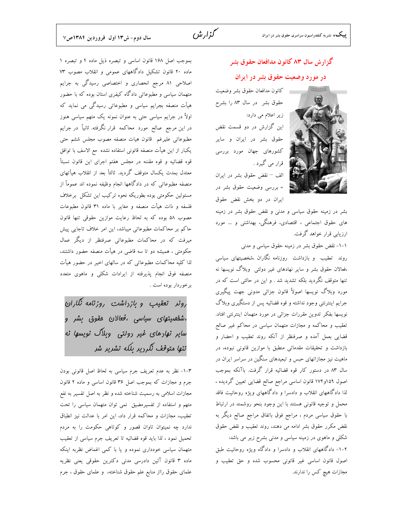### سال دوم- ش١٣ اول فروردين ١٣٨٤ص٧

# گزارش سال ۸۳ کانون مدافعان حقوق بشر در مورد وضعیت حقوق بشر در ایران

سط كانون مدافعان حقوق بشر وضعيت حقوق بشر ً در سال ۸۳ را بشرح زیر اعلام می دارد: این گزارش در دو قسمت نقض حقوق بشر در ایران و سایر کشورهای جهان مورد بررسی قرار می گیرد . الف – نقض حقوق بشر در ايران

= بررسی وضعیت حقوق بشر در ایران در دو بخش نقض حقوق

بشر در زمینه حقوق سیاسی و مدنی و نقض حقوق بشر در زمینه های حقوق اجتماعی ، اقتصادی، فرهنگی، بهداشتی و … مورد ارزیابی قرار خواهد گرفت.

۱-۱- نقض حقوق بشر در زمینه حقوق سیاسی و مدنی

روند تعقیب و بازداشت روزنامه نگاران ،شخصیتهای سیاسی ،فعالان حقوق بشر و سایر نهادهای غیر دولتی ۖ وبلاگ نویسها نه تنها متوقف نگردید بلکه تشدید شد . و این در حالتی است که در مورد وبلاگ نویسها اصولاً قانون جزائی مدونی جهت پیگیری جرایم اینترنتی وجود نداشته و قوه قضائیه پس از دستگیری وبلاگ نویسها بفکر تدوین مقررات جزائی در مورد متهمان اینترنتی افتاد. تعقیب و محاکمه و مجازات متهمان سیاسی در محاکم غیر صالح قضایی بعمل آمده و صرفنظر از آنکه روند تعقیب و احضار و بازداشت و تحقیقات مقدماتی منطبق با موازین قانونی نبوده، در ماهیت نیز مجازاتهای حبس و تبعیدهای سنگین در سراسر ایران در سال ۸۳ در دستور کار قوه قضائیه قرار گرفت. باآنکه بموجب اصول ۱۵۹و۱۷۲ قانون اساسی مراجع صالح قضایی تعیین گردیده ، لذا دادگاههای انقلاب و دادسرا و دادگاههای ویژه روحانیت فاقد محمل و توجیه قانونی هستند با این وجود بنحو روشمند در ارتباط با حقوق سیاسی مردم ، مراجع فوق باتفاق مراجع صالح دیگر به نقض مکرر حقوق بشر ادامه می دهند، روند تعقیب و نقض حقوق شکلی و ماهوی در زمینه سیاسی و مدنی بشرح زیر می باشد: ۲-۱- دادگاههای انقلاب و دادسرا و دادگاه ویژه روحانیت طبق اصول قانون اساسی غیر قانونی محسوب شده و حق تعقیب و

مجازات هیچ کس را ندارند.

بموجب اصل ۱۶۸ قانون اساسی و تبصره ذیل ماده ۴ و تبصره ۱ ماده ۲۰ قانون تشکیل دادگاههای عمومی و انقلاب مصوب ۷۳ اصلاحی ۸۱ مرجع انحصاری و اختصاصی رسیدگی به جرایم متهمان سیاسی و مطبوعاتی دادگاه کیفری استان بوده که با حضور هیأت منصفه بجرایم سیاسی و مطبوعاتی رسیدگی می نماید که اولاً در جرایم سیاسی حتی به عنوان نمونه یک متهم سیاسی هنوز در این مرجع صالح مورد محاکمه قرار نگرفته. ثانیاً در جرایم مطبوعاتي عليرغم قانون هيات منصفه مصوب مجلس ششم حتى يكبار از اين هيأت منصفه قانوني استفاده نشده ًمع الاسف با توافق قوه قضائیه و قوه مقننه در مجلس هفتم اجرای این قانون نسبتأ معتدل بمدت يكسال متوقف گرديد. ثالثاً بعد از انقلاب هيأتهاى منصفه مطبوعاتی که در دادگاهها انجام وظیفه نموده اند عموماً از مسئولین حکومتی بوده بطوریکه نحوه ترکیب این تشکل برخلاف فلسفه و ذات هيأت منصفه و مغاير با ماده ٣١ قانون مطبوعات مصوب ۵۸ بوده که به لحاظ رعایت موازین حقوقی تنها قانون حاکم بر محاکمات مطبوعاتی میباشد، این امر خلاف تاجایی پیش میرفت که در محاکمات مطبوعاتی صرفنظر از دیگر عمال حکومتی ، همیشه دو تا سه قاضی در هیأت منصفه حضور داشتند، لذا کلیه محاکمات مطبوعاتی که در سالهای اخیر در حضور هیأت منصفه فوق انجام پذیرفته از ایرادات شکلی و ماهوی متعدد برخوردار بوده است .

رونر تعقیب و بازداشت روزنامه نگاران ،ش*مْھىيتھاى سياسى ،فعا*لان مقوق بشر و سایر نهادهای غیر رولتی وبلاگ نویسها نه تنها متوقف نگردیر بلکه تشریر شر

٣-١- نظر به عدم تعريف جرم سياسي به لحاظ اصل قانوني بودن جرم و مجازات که بموجب اصل ۳۶ قانون اساسی و ماده ۲ قانون مجازات اسلامی به رسمیت شناخته شده و نظر به اصل تفسیر به نفع متهم و استفاده از تفسیرمضیق نمی توان متهمان سیاسی را تحت تعقيب، مجازات و محاكمه قرار داد، اين امر با عدالت نيز انطباق ندارد چه نمیتوان تاوان قصور و کوتاهی حکومت را به مردم تحمیل نمود ، لذا باید قوه قضائیه تا تعریف جرم سیاسی از تعقیب متهمان سیاسی خودداری نموده و یا با کمی اغماض نظربه اینکه ماده ۳ قانون آئین دادرسی مدنی دکترین حقوقی یعنی نظریه علمای حقوق رااز منابع علم حقوق شناخته، و علمای حقوق ، جرم

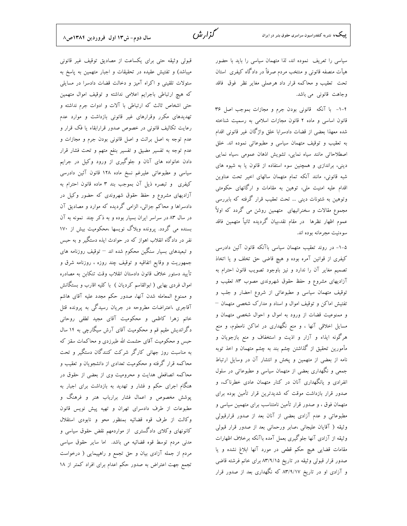گزار ش

سیاسی را تعریف نموده اند، لذا متهمان سیاسی را باید با حضور هیأت منصفه قانونی و منتخب مردم صرفاً در دادگاه کیفری استان تحت تعقیب و محاکمه قرار داد هرعملی مغایر نظر فوق فاقد وجاهت قانوني مي باشد.

۴-۱- با آنکه قانونی بودن جرم و مجازات بموجب اصل ۳۶ قانون اساسی و ماده ۲ قانون مجازات اسلامی به رسمیت شناخته شده معهذا بعضي از قضات دادسرابا خلق واژگان غير قانوني اقدام به تعقیب و توقیف متهمان سیاسی و مطبوعاتی نموده اند. خلق اصطلاحاتی مانند سیاه نمایی، تشویش اذهان عمومی ،سیاه نمایی دینی، براندازی و همچنین سوء استفاده از قانون یا به شیوه های شبه قانونی، مانند آنکه تمام متهمان سالهای اخیر تحت عناوین اقدام علیه امنیت ملی، توهین به مقامات و ارگانهای حکومتی وتوهین به شئونات دینی … تحت تعقیب قرار گرفته که بابررسی مجموع مقالات و سخنرانیهای متهمین روشن می گردد که اولاً عموم اظهار نظرها ً در مقام نقد،بیان گردیده ثانیاً متهمین فاقد سوءنيت مجرمانه بوده اند.

۵–۱– در روند تعقیب متهمان سیاسی باآنکه قانون آئین دادرسی كيفرى از قوانين آمره بوده و هيچ قاضى حق تخلف و يا اتخاذ تصميم مغاير آن را ندارد و نيز باوجود تصويب قانون احترام به آزادیهای مشروع و حفظ حقوق شهروندی مصوب ۸۳ تعقیب و توقیف متهمان سیاسی و مطبوعاتی از شروع احضار و جلب و تفتیش اماکن و توقیف اموال و اسناد و مدارک شخصی متهمان – و ممنوعیت قضات از ورود به اموال و احوال شخصی متهمان و مسایل اخلاقی آنها ، و منع نگهداری در اماکن نامعلوم، و منع هرگونه ایذاء و آزار و اذیت و استخفاف و منع بازجویان و مأمورین تحقیق از گذاشتن چشم بند به چشم متهمان و اخذ توبه نامه از بعضی از متهمین و پخش و انتشار آن در وسایل ارتباط جمعی و نگهداری بعضی از متهمان سیاسی و مطبوعاتی در سلول انفرادی و یانگهداری آنان در کنار متهمان عادی خطرناک، و صدور قرار بازداشت موقت که شدیدترین قرار تأمین بوده برای متهمان فوق ، و صدور قرار تأمین نامتناسب برای متهمین سیاسی و مطبوعاتی و عدم آزادی بعضی از آنان بعد از صدور قرارقبولی وثيقه ( آقايان عليجاني ،صابر ورحماني بعد از صدور قرار قبولي وثيقه از آزادى آنها جلوگيرى بعمل آمده باآنكه برخلاف اظهارات مقامات قضایی هیچ حکم قطعی در مورد آنها ابلاغ نشده و یا صدور قرار قبولی وثیقه در تاریخ ۸۳/۹/۱۵ برای خانم فرشته قاضی و آزادی او در تاریخ ۸۳/۹/۱۷ که نگهداری بعد از صدور قرار

قبولی وثیقه حتی برای یکساعت از مصادیق توقیف غیر قانونی میباشد) و تفتیش عقیده در تحقیقات و اجبار متهمین به پاسخ به سئولات تلقینی و اکراه آمیز و دخالت قضات دادسرا در مسایلی كه هيچ ارتباطي باجرايم اعلامي نداشته و توقيف اموال متهمين حتی اشخاص ثالث که ارتباطی با آلات و ادوات جرم نداشته و تهدیدهای مکرر وقرارهای غیر قانونی بازداشت و موارد عدم رعایت تکالیف قانونی در خصوص صدور قرارابقاء یا فک قرار و عدم توجه به اصل برائت و اصل قانونی بودن جرم و مجازات و عدم توجه به تفسیر مضیق و تفسیر بنفع متهم و تحت فشار قرار دادن خانواده های آنان و جلوگیری از ورود وکیل در جرایم سیاسی و مطبوعاتی علیرغم نسخ ماده ۱۲۸ قانون آئین دادرسی كيفري وتبصره ذيل آن بموجب بند ٣ ماده قانون احترام به آزادیهای مشروع و حفظ حقوق شهروندی که حضور وکیل در دادسراها و محاکم جزائی، الزامی گردیده که موارد و مصادیق آن در سال ۸۳ در سراسر ایران بسیار بوده و به ذکر چند نمونه به آن بسنده می گردد. پرونده وبلاگ نویسها ،محکومیت بیش از ۱۷۰ نفر در دادگاه انقلاب اهواز که در حوادث ایذه دستگیر و به حبس و تبعیدهای بسیار سنگین محکوم شده اند — توقیف روزنامه های جمهوریت و وقایع اتفاقیه و توقیف چند روزه ، روزنامه شرق و تأييد دستور خلاف قانون دادستان انقلاب وقت تنكابن به مصادره اموال فردی بهایی ( ابوالقاسم کردیان ) با کلیه اقارب و بستگانش و ممنوع المعامله شدن آنها، صدور حکم مجدد عليه آقاى هاشم آقاجری ،اعتراضات مطروحه در جریان رسیدگی به پرونده قتل خانم زهرا كاظمى و محكوميت آقاى مجيد لطفى روحانى دگراندیش مقیم قم و محکومیت آقای آرش سیگارچی به ۱۴ سال حبس و محکومیت آقای حشمت الله طبرزدی و محاکمات سقز که به مناسبت روز جهانی کارگر شرکت کنندگان دستگیر و تحت محاکمه قرار گرفته و محکومیت تعدادی از دانشجویان و تعقیب و محاکمه انصافعلی هدایت و محرومیت وی از بعضی از حقوق در هنگام اجرای حکم و فشار و تهدید به بازداشت برای اجبار به پوشش مخصوص و اعمال فشار برارباب هنر و فرهنگ و مطبوعات از طرف دادسرای تهران و تهیه پیش نویس قانون وكالت از طرف قوه قضائيه بمنظور محو و نابودي استقلال کانونهای وکلای دادگستری از مواردمهم نقض حقوق سیاسی و مدنی مردم توسط قوه قضائیه می باشد. اما سایر حقوق سیاسی مردم از جمله آزادی بیان و حق تجمع و راهپیمایی ( درخواست تجمع جهت اعتراض به صدور حکم اعدام برای افراد کمتر از ۱۸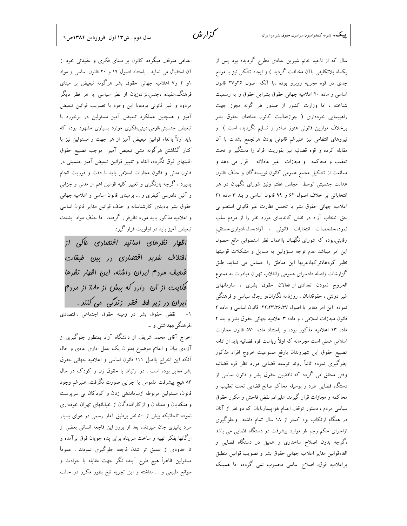سال که از ناحیه خانم شیرین عبادی مطرح گردیده بود پس از یکماه بلاتکلیفی باآن مخالفت گردید ) و ایجاد تشکل نیز با موانع جدی در قوه مجریه روبرو بوده ،با آنکه اصول ۲۶و۲۷ قانون اساسی و ماده ۲۰ اعلامیه جهانی حقوق بشراین حقوق را به رسمیت شناخته ، اما وزارت کشور از صدور هر گونه مجوز جهت راهپیمایی خودداری ( جوازفعالیت کانون مدافعان حقوق بشر برخلاف موازین قانونی هنوز صادر و تسلیم نگردیده است ) و نیروهای انتظامی نیز علیرغم قانونی بودن هرتجمع بشدت با آن مقابله کرده و قوه قضائیه نیز بفوریت افراد را دستگیر و تحت تعقیب و محاکمه و مجازات غیر عادلانه قرار می دهد و ممانعت از تشکیل مجمع عمومی کانون نویسندگان و حذف قانون عدالت جنسیتی توسط ً مجلس هفتم ونیز شورای نگهبان در هر انتخاباتی بر خلاف اصول ۶۲ و ۹۹ قانون اساسی و بند ۳ ماده ۲۱ اعلاميه جهاني حقوق بشر با تحميل نظارت غير قانوني استصوابي حق انتخاب آزاد در نقش کاندیدای مورد نظر را از مردم سلب نموده،مشخصات انتخابات قانونى ، آزاد،سالم،ادوارى،مستقيم رقابتی،بوده که شورای نگهبان بااعمال نظر استصوابی مانع حصول این امر میباشد عدم توجه مسؤولین به مسایل و مشکلات قومیتها نظیر کردها،ترکها،عربها این مناطق را حساس می نماید. طبق گزارشات واصله دادسرای عمومی وانقلاب تهران مبادرت به ممنوع الخروج نمودن تعدادي از فعالان حقوق بشرى ، سازمانهاى غیر دولتی ، حقوقدانان ، روزنامه نگاران،و رجال سیاسی و فرهنگی نموده این امر مغایر با اصول ۲۲،۲۳،۳۶،۳۷ قانون اساسی و ماده ۲ قانون مجازات اسلامی ، و ماده ۳ اعلامیه جهانی حقوق بشر و بند ۲ ماده ۱۳ اعلامیه مذکور بوده و باستناد ماده ۵۷۰ قانون مجازات اسلامی عملی است مجرمانه که اولاً ریاست قوه قضائیه باید از ادامه تضييع حقوق اين شهروندان بارفع ممنوعيت خروج افراد مذكور جلوگیری نموده ثانیاً روند توسعه قضایی مورد نظر قوه قضائیه وقتی محقق می گردد که ناقضین حقوق بشر و قانون اساسی از دستگاه قضایی طرد و بوسیله محاکم صالح قضایی تحت تعقیب و محاکمه و مجازات قرار گیرند. علیرغم نقض فاحش و مکرر حقوق سیاسی مردم ، دستور توقف اعدام هواپیماربایان که دو نفر از آنان در هنگام ارتکاب بزه کمتر از ۱۸ سال تمام داشته ًوجلوگیری ازاجرای حکم رجم ،از موارد پیشرفت در دستگاه قضایی می باشد ،گرچه بدون اصلاح ساختاری و عمیق در دستگاه قضایی و الغاءقوانين مغاير اعلاميه جهانى حقوق بشر و تصويب قوانين منطبق براعلامیه فوق، اصلاح اساسی محسوب نمی گردد، اما همینکه

اعدامی متوقف میگردد کانون بر مبنای فکری و عقیدتی خود از آن استقبال می نماید . باستناد اصول ۱۹ و ۲۰ قانون اساسی و مواد ۱و ۲ و۷ اعلامیه جهانی حقوق بشر هرگونه تبعیض بر مبنای فرهنگ،عقیده ،جنس،نژاد،زبان از نظر سیاسی یا هر نظر دیگر مردود و غیر قانونی بوده،با این وجود با تصویب قوانین تبعیض آمیز و همچنین عملکرد تبعیض آمیز مسئولین در برخورد با تبعیض جنسیتی،قومی،دینی،فکری موارد بسیاری مشهود بوده که بايد اولاً باالغاء قوانين تبعيض آميز از هر جهت و مسئولين نيز با كنار گذاشتن هرگونه مشي تبعيض آميز ً موجب تضييع حقوق اقلیتهای فوق نگردد، الغاء و تغییر قوانین تبعیض آمیز جنسیتی در قانون مدنی و قانون مجازات اسلامی باید با دقت و فوریت انجام پذیرد ، گرچه بازنگری و تغییر کلیه قوانین اعم از مدنی و جزائی و آئین دادرسی کیفری و … برمبنای قانون اساسی و اعلامیه جهانی حقوق بشر بادیدی کارشناسانه و حذف قوانین مغایر قانون اساسی و اعلامیه مذکور باید مورد نظرقرار گرفته، اما حذف مواد بشدت تبعیض آمیز باید در اولویت قرار گیرد .

اظهار نظرهای اساتیر اقتصاری هاکی از افتلاف شریر اقتصاری در بین طبقات ضعیف مررم ایران راشته، این اظهار نظرها هکایت از آن دارد که بیش از ۸۰٪ از مردم ایران در زیر فط فقر زندگی می کنند . ۱– نقض حقوق بشر در زمینه حقوق اجتماعی ،اقتصادی ،فرهنگی،بهداشتی و …

اخراج آقای محمد شریف از دانشگاه آزاد بمنظور جلوگیری از آزادی بیان و اعلام موضوع بعنوان یک عمل اداری عادی و حال آنکه این اخراج بااصل ۱۴۱ قانون اساسی و اعلامیه جهانی حقوق بشر مغایر بوده است . در ارتباط با حقوق زن و کودک در سال ٨٣ هيچ پيشرفت ملموس يا اجرايي صورت نگرفت، عليرغم وجود قانون، مسئولین مربوطه ازساماندهی زنان و کودکان بی سرپرست و متکدیان و معتادان و ازکارافتادگان از خیابانهای تهران خودداری نموده تاجائیکه بیش از ۵۰ نفر برطبق آمار رسمی در هوای بسیار سرد پائیزی جان سپردند، بعد از بروز این فاجعه انسانی بعضی از ارگانها بفکر تهیه و ساخت سرپناه برای پناه جویان فوق برآمده و تا حدودی از عمیق تر شدن فاجعه جلوگیری نمودند . عموماً مسئولین ظاهراً هیچ طرح آینده نگر جهت مقابله با حوادث و سوانح طبیعی و … نداشته و این تجربه تلخ بطور مکرر در حالت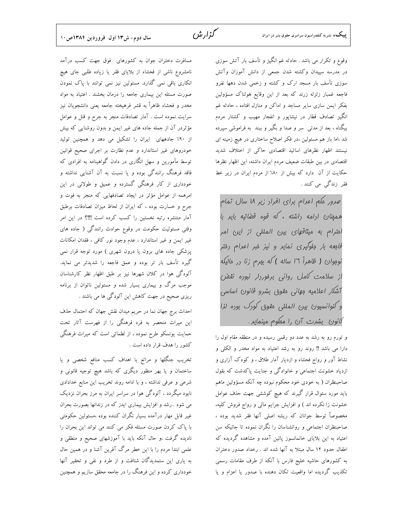وقوع و تکرار می باشد . حادثه غم انگیز و تأسف بار آتش سوزی در مدرسه سپیدان وکشته شدن جمعی از دانش آموزان وآتش سوزی تأسف بار مسجد ارک و کشته و زخمی شدن دهها نفرو فاجعه غمبار زلزله زرند كه بعد از اين وقايع هولناك مسؤولين بفکر ایمن سازی سایر مساجد و اماکن و منازل افتاده ، حادثه غم انگیز تصادف قطار در نیشاپور و انفجار مهیب و کشتار مردم بیگناه ، بعد از مدتی ً سر و صدا و بگیر و ببند ً به فراموشی سپرده شد ،اما باز هم مسئولین ،در فکر اصلاح ساختاری در هیچ زمینه ای نیستند اظهار نظرهای اساتید اقتصادی حاکی از اختلاف شدید اقتصادی در بین طبقات ضعیف مردم ایران داشته، این اظهار نظرها حکایت از آن دارد که بیش از ۸۰٪ از مردم ایران در زیر خط فقر زندگی می کنند .

صرور عکم اعرام برای افراد زیر ۱۸ سال تمام همی*نان ا*رامه راشته ، *که قوه قفنائیه بایر با* ام*تر*ام به میث*اقهای بین المللی از این امر* فامعه بار مِلوگیری نمایر و نیز میر اعرام رفتر نوموان ( ظاهراً ١٦ ساله ) كه بمرم زنا در ماليكه از سلامت کامل روانی برهوردار نبوده نقض آشلار اعلامیه مِهانی مقوق بشرو قانون اساسی و كنوانسيون بين المللى مقوق كورك بوره لزا کانون بشرت آن را معکوم مینماید .

و تورم رو به رشد به عدد دو رقمی رسیده و در منطقه مقام اول را دارا می باشد !! روند رو به رشد اعتیاد به مواد مخدر و الکلی و نشاط آور و رواج فحشاء و ازدیار آمار طلاق ، و کودک آزاری و ازدیاد خشونت اجتماعی و خانوادگی و جنایت پاکدشت که بقول صاحبنظران ( به خودی خود محکوم نبوده چه آنکه مسؤولین ماهم باید مورد سئوال قرار گیرند که هیچ کوششی جهت حذف عوامل خشونت زا نکرده اند ) و افزایش جرایم مالی و رواج فروش کلیه، مخصوصاً توسط جوانان که ریشه اصلی آنها فقر شدید بوده ، صاحبنظران اجتماعی و روانشناسان را نگران نموده تا جائیکه سن اعتیاد به این بلایای خانمانسوز پائین آمده و مشاهده گردیده که اطفال حدود ١٢ سال مبتلا به آنها شده اند . رخداد صدور دختران به کشورهای حاشیه خلیج فارس با آنکه از طرف مقامات رسمی تکذیب گردیده اما واقعیت تکان دهنده با صدور یا اعزام و یا

مسافرت دختران جوان به کشورهای فوق جهت کسب درآمد نامشروع ناشی از فحشاء از بلایای فقر یا زیاده طلبی جای هیچ انکاری باقی نمی گذارد. مسئولین نیز نمی توانند با پاک نمودن صورت مسئله این بیماری جامعه را درمان بخشند . اعتیاد به مواد مخدر و فحشاء ظاهراً به قشر فرهیخته جامعه یعنی دانشجویان نیز سرایت نموده است . آمار تصادفات منجر به جرح و قتل و عوامل مؤثردر آن از جمله جاده های غیر ایمن و بدون روشنایی که بیش از ۹۰٪ جادههای ایران را تشکیل می دهد و همچنین تولید خودروهای غیر استاندارد و عدم نظارت بر اجرای صحیح قوانین توسط مأمورین و سهل انگاری در دادن گواهینامه به افرادی که فاقد فرهنگ رانندگی بوده و یا نسبت به آن آشنایی نداشته و خودداری از کار فرهنگی گسترده و عمیق و طولانی در این امرهمه از عوامل مؤثر در ایجاد تصادفهایی که منجر به فوت و جرح و خسارت بوده ، كه ايران از لحاظ ميزان تصادفات برطبق آمار منتشره رتبه نخستین را کسب کرده است !!!؟ در این امر وقتی مسئولیت حکومت در وقوع حوادث رانندگی ( جاده های غیر ایمن و غیر استاندارد ، عدم وجود نور کافی ، فقدان امکانات پزشکی جاده های برون یا درون شهری ) مورد توجه قرار نمی گیرد تأسف بار تر بوده و عمق فاجعه را شدیدتر می نماید. آلودگی هوا در کلان شهرها نیز بر طبق اظهار نظر کارشناسان موجب مرگ و بیماری بسیار شده و مسئولین ناتوان از برنامه ریزی صحیح در جهت کاهش این آلودگی ها می باشند .

احداث برج جهان نما در حريم ميدان نقش جهان كه احتمال حذف این میراث منحصر به فرد فرهنگی را از فهرست آثار تحت حمایت یونسکو طرح نموده ، از لطماتی است که میراث فرهنگی كشور را هدف قرار داده است .

تخریب جنگلها و مراتع با اهداف کسب منافع شخصی و یا ساختمان و یا بهر منظور دیگری که باشد هیچ توجیه قانونی و شرعی و عرفی نداشته ، و با ادامه روند تخریب این منابع خدادادی نابود میگردد ، آلودگی هوا در سراسر ایران به مرز بحران نزدیک می شود . رشد و افزایش بیماری ایدز که در زندانها بصورت بحران غیر قابل مهار درآمده بسیار نگران کننده بوده ،مسئولین حکومتی با پاک کردن صورت مسئله فکر می کنند می تواند این بحران را نادیده گرفت ،و حال آنکه باید با آموزشهای صحیح و منطقی و علمی ابتدا مردم را با این خطر مرگ آفرین آشنا و در همین حال به یاری این ستمدیدگان شتافت و از طرد و نفی و تحقیر آنها خودداری کرده و این فرهنگ را در جامعه محقق سازیم و همچنین

گزار ش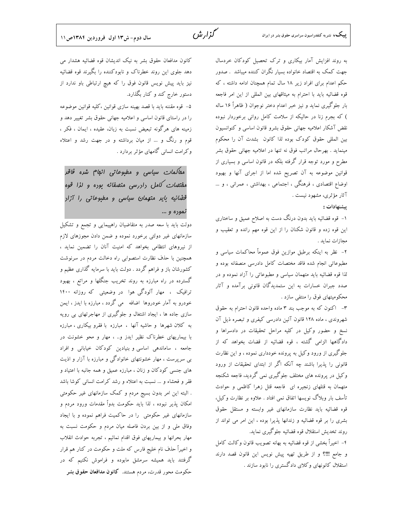به روند افزایش آمار بیکاری و ترک تحصیل کودکان خردسال جهت کمک به اقتصاد خانواده بسیار نگران کننده میباشد . صدور حکم اعدام برای افراد زیر ۱۸ سال تمام همچنان ادامه داشته ، که قوه قضائیه باید با احترام به میثاقهای بین المللی از این امر فاجعه بار جلوگیری نماید و نیز خبر اعدام دختر نوجوان ( ظاهراً ۱۶ ساله ) که بجرم زنا در حالیکه از سلامت کامل روانی برخوردار نبوده نقض آشكار اعلاميه جهاني حقوق بشرو قانون اساسي وكنوانسيون بین المللی حقوق کودک بوده لذا کانون بشدت آن را محکوم مینماید . بهرحال مراتب فوق نه تنها در اعلامیه جهانی حقوق بشر مطرح و مورد توجه قرار گرفته بلکه در قانون اساسی و بسیاری از قوانین موضوعه به آن تصریح شده اما از اجرای آنها و بهبود اوضاع اقتصادی ، فرهنگی ، اجتماعی ، بهداشتی ، عمرانی ، و … آثار مؤثري، مشهود نيست .

#### ييشنهادات :

۱– قوه قضائیه باید بدون درنگ دست به اصلاح عمیق و ساختاری این قوه زده و قانون شکنان را از این قوه مهم رانده و تعقیب و مجازات نمايد .

۲- نظر به اینکه برطبق موازین فوق عموماً محاکمات سیاسی و مطبوعاتی انجام شده فاقد مختصات کامل دادرسی منصفانه بوده و لذا قوه قضائیه باید متهمان سیاسی و مطبوعاتی را آزاد نموده و در صدد جبران خسارات به این ستمدیدگان قانونی برآمده و آثار محکومیتهای فوق را منتفی سازد .

٣- اكنون كه به موجب بند ٣ ماده واحده قانون احترام به حقوق شهروندی ، ماده ۱۲۸ قانون آئین دادرسی کیفری و تبصره ذیل آن نسخ و حضور وكيل در كليه مراحل تحقيقات در دادسراها و دادگاهها الزامی گشته ، قوه قضائیه از قضات بخواهد که از جلوگیری از ورود وکیل به پرونده خودداری نموده ، و این نظارت قانونی را پذیرا باشند چه آنکه اگر از ابتدای تحقیقات از ورود وکیل در پرونده های مختلف جلوگیری نمی گردید، فاجعه شکنجه متهمان به قتلهای زنجیره ای فاجعه قتل زهرا کاظمی و حوادث تأسف بار وبلاگ نویسها اتفاق نمی افتاد . علاوه بر نظارت وکیل، قوه قضائیه باید نظارت سازمانهای غیر وابسته و مستقل حقوق بشری را بر قوه قضائیه و زندانها پذیرا بوده ، این امر می تواند از روند تخديش استقلال قوه قضائيه جلوگيري نمايد.

۴- اخیراً بخشی از قوه قضائیه به بهانه تصویب قانون وکالت کامل و جامع !!!؟ و از طريق تهيه پيش نويس اين قانون قصد دارند استقلال کانونهای وکلای دادگستری را نابود سازند .

كانون مدافعان حقوق بشر به نيك انديشان قوه قضائيه هشدار مي دهد جلوی این روند خطرناک و نابودکننده را بگیرند قوه قضائیه نیز باید پیش نویس قانون فوق را که هیچ ارتباطی باو ندارد از دستور خارج کند و کنار بگذارد.

گذار شرے

۵– قوه مقننه باید با قصد بهینه سازی قوانین ،کلیه قوانین موضوعه را در راستای قانون اساسی و اعلامیه جهانی حقوق بشر تغییر دهد و زمینه های هرگونه تبعیض نسبت به زبان، عقیده ، ایمان ، فکر ، قوم و رنگ و … از میان برداشته و در جهت رشد و اعتلاء وکرامت انسانی گامهای مؤثر بردارد .

مقالمات سياسي و مطبوعاتي انهام شره فاقر مفت*هات کا*مل راررسی من*هىفانه بو*ره و ل*زا قو*ه قضائیه بایر متهمان سیاسی و مطبوعاتی را آزار نموره و …

دولت باید با سعه صدر به متقاضیان راهپیمایی و تجمع و تشکیل سازمانهای غیر دولتی برخورد نموده و ضمن دادن مجوزهای لازم از نیروهای انتظامی بخواهد که امنیت آنان را تضمین نماید ، همچنین با حذف نظارت استصوابی راه دخالت مردم در سرنوشت کشورشان باز و فراهم گردد . دولت باید با سرمایه گذاری عظیم و گسترده در راه مبارزه به روند تخریب جنگلها و مراتع ، بهبود ترافیک ، مهار آلودگی هوا در وضعیتی که روزانه ۱۴۰۰ خودرو به آمار خودروها اضافه ً مي گردد ، مبارزه با ايدز ، ايمن سازی جاده ها ، ایجاد اشتغال و جلوگیری از مهاجرتهای بی رویه به کلان شهرها و حاشیه آنها ، مبارزه با فقرو بیکاری ، مبارزه با بیماریهای خطرناک نظیر ایدز و… ، مهار و محو خشونت در جامعه ، ساماندهی اساسی و بنیادین کودکان خیابانی و افراد بی سرپرست ، مهار خشونتهای خانوادگی و مبارزه با آزار و اذیت های جنسی کودکان و زنان ، مبارزه عمیق و همه جانبه با اعتیاد و فقر و فحشاء و ... نسبت به اعتلاء و رشد كرامت انساني كوشا باشد . البته این امر بدون بسیج مردم و کمک سازمانهای غیر حکومتی امکان پذیر نبوده ، لذا باید حکومت بدواً مقدمات ورود مردم و سازمانهای غیر حکومتی را در حاکمیت فراهم نموده و با ایجاد وفاق ملی و از بین بردن فاصله میان مردم و حکومت نسبت به مهار بحرانها و بيماريهاى فوق اقدام نمائيم ، تجربه حوادث انقلاب و اخیراً حذف نام خلیج فارس که ملت و حکومت در کنار هم قرار گرفتند باید همیشه سرمشق مابوده و فراموش نکنیم که در حکومت محور قدرت، مردم هستند. کانو**ن مدافعان حقوق ب**شر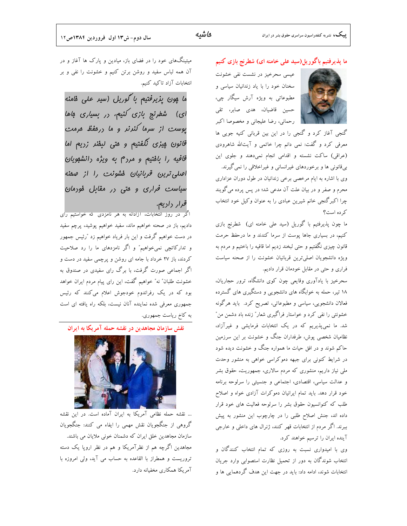

گنجی آغاز کرد و گنجی را در این بین قربانی کنیه جویی ها معرفی کرد و گفت: نمی دانم چرا خاتمی و آیتالله شاهرودی (عراقی) ساکت نشسته و اقدامی انجام نمیدهند و جلوی این بیقانونی ها و برخوردهای غیرانسانی و غیراخلاقی را نمی گیرند. وی با اشاره به ایام مرخصی برخی زندانیان در طول دوران عزاداری محرم و صفر و در بیان علت آن مدعی شد؛ در پس پرده میگویند چرا اکبرگنجی خانم شیرین عبادی را به عنوان وکیل خود انتخاب که ده است؟

ما چون پذیرفتیم با گوریل (سید علی خامنه ای) شطرنج بازی کنیم، در بسیاری جاها پوست از سرما کندند و ما درحفظ حرمت قانون چیزی نگفتیم و حتی لبخند زدیم اما قافیه را باختیم و مردم به ویژه دانشجویان اصلیترین قربانیان خشونت را از صحنه سیاست فراری و حتی در مقابل خودمان قرار دادیم.

سحرخیز با یادآوری وقایعی چون کوی دانشگاه، ترور حجاریان، ۱۸ تیر، حمله به خوابگاه های دانشجویی و دستگیری های گسترده فعالان دانشجویی، سیاسی و مطبوعاتی، تصریح کرد. باید هرگونه خشونتی را نفی کرد و خواستار فراگیری شعار″ زنده باد دشمن من″ شد. ما نمیپذیریم که در یک انتخابات فرمایشی و غیرآزاد، نظامیان شخصی پوش، طرفداران جنگ و خشونت بر این سرزمین حاکم شوند و در افق حیات ما همواره جنگ و خشونت دیده شود در شرایط کنونی برای جبهه دموکراسی خواهی به منشور وحدت ملی نیاز داریم، منشوری که مردم سالاری، جمهوریت، حقوق بشر و عدالت سیاسی، اقتصادی، اجتماعی و جنسیتی را سرلوحه برنامه خود قرار دهد. باید تمام ایرانیان دموکرات آزادی خواه و اصلاح طلب که کنوانسیون حقوق بشر را سرلوحه فعالیت های خود قرار داده اند، جنش اصلاح طلبی را در چارچوب این منشور به پیش ببرند. اگر مردم از انتخابات قهر کنند، ژنرال های داخلی و خارجی آینده ایران را ترسیم خواهند کرد.

وی با امیدواری نسبت به روزی که تمام انتخاب کنندگان و انتخاب شوندگان به دور از تحمیل نظارت استصوابی وارد جریان انتخابات شوند، ادامه داد: باید در جهت این هدف گردهمایی ها و

میتینگهای خود را در فضای باز، میادین و پارک ها آغاز و در آن همه لباس سفید و روشن برتن کنیم و خشونت را نفی و بر انتخابات آزاد تاكيد كنيم.

ما پون پزیرفتیم با گوریل (سیر علی فامنه ای) شطرنج بازی کنیم، در بسیاری فاها یوست از سرما کنرنر و ما درفقظ مرمت قانون پیزی نگفتیم و متی لبفنر زریم اما قافیه را بافتیم و مردم به ویژه دانشهویان اصلی ترین قربانیان فشونت را از صفنه سیاست فراری و متی در مقابل فودمان *قرار* راريع.

اگر در روز انتخابات، ازادانه به هر نامزدی که خواستیم رای دادیم، باز در صحنه خواهیم ماند، سفید خواهیم پوشید، پرچم سفید در دست خواهیم گرفت و این بار فریاد خواهیم زد ″رئیس جمهور و تدارکاتچی نمیخواهیم" و اگر نامزدهای ما را رد صلاحیت کردند، باز ۲۷ خرداد با جامه ای روشن و پرچمی سفید در دست و اگر اجماعی صورت گرفت، با برگ رای سفیدی در صندوق به خشونت طلبان" نه" خواهیم گفت، این رای پیام مردم ایران خواهد بود که در یک رفراندوم خودجوش اعلام میکنند که رئیس جمهوری معرفی شده نماینده آنان نیست، بلکه راه یافته ای است به کاخ ریاست جمهوری.

نقش سازمان مجاهدین در نقشه حمله آمریکا به ایران



... نقشه حمله نظامی آمریکا به ایران آماده است. در این نقشه گروهی از جنگجویان نقش مهمی را ایفاء می کنند: جنگجویان سازمان مجاهدین خلق ایران که دشمنان خونی ملایان می باشند. مجاهدین اگرچه هم از نظرآمریکا و هم در نظر اروپا یک دسته تروریست و همطراز با القاعده به حساب می آید، ولی امروزه با آمریکا همکاری مخفیانه دارد.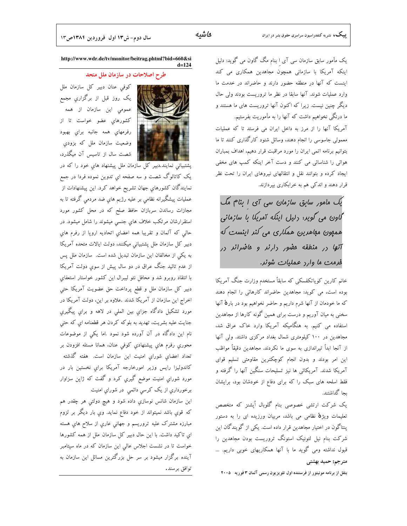یک مأمور سابق سازمان سی آی ا بنام مگ گاون می گوید: دلیل اینکه آمریکا با سازمانی همچون مجاهدین همکاری می کند اینست که آنها در منطقه حضور دارند و حاضراند در خدمت ما وارد عملیات شوند. آنها سابقا در نظر ما تروریست بودند ولی حال دیگر چنین نیست. زیرا که اکنون آنها تروریست های ما هستند و ما درنگی نخواهیم داشت که آنها را به مأموریت بفرستیم. آمریکا آنها را از مرز به داخل ایران می فرستد تا که عملیات معمولی جاسوسی را انجام دهند، وسائل شنود کارگذاری کنند تا ما بتوانيم برنامه اتمى ايران را مورد مراقبت قرار دهيم، اهداف بمباران هوائی را شناسائی می کنند و دست آخر اینکه کمپ های مخفی ایجاد کرده و بتوانند نقل و انتقالهای نیروهای ایران را تحت نظر قرار دهند و اندکی هم به خرابکاری بیردازند.

یک مأمور سابق سازمان سی آی ۱ بنام مگ گاون می گویر: دلیل اینکه آمریکا با سازمانی همهون مهاهرین همکاری می کنر اینست که .<br>آنها در منطقه مفیور دارند و ماضراند در فرمت ما وارر عملیات شونر.

خانم کارین کویاتکفسکی که سابقاً مستخدم وزارت جنگ آمریکا بوده است، می کوید: مجاهدین حاضراند کارهائی را انجام دهند که ما خودمان از آنها شرم داریم و حاضر نخواهیم بود در بارهٔ آنها سخنی به میان آوریم و درست برای همین گونه کارها از مجاهدین استفاده می کنیم. به هنگامیکه آمریکا وارد خاک عراق شد، مجاهدین در ۱۰۰ کیلومتری شمال بغداد مرکزی داشتد. ولی آنها از آنجا ابداً تیراندازی به سوی ما نکردند. مجاهدین دقیقاً مواظب این امر بودند و بدون انجام کوچکترین مقاومتی تسلیم قوای آمریکا شدند. آمریکائی ها نیز تسلیحات سنگین آنها را گرفته و فقط اسلحه های سبک را که برای دفاع از خودشان بود، برایشان ىحا گداشتند.

یک شرکت ارتشی خصوصی بنام گلوبال اُپشنز که متخصص تعلیمات ویژ<mark>هٔ</mark> نظامی می باشد، مربیان ورزیده ای را به دستور ینتاگون در اختیار مجاهدین قرار داده است. یکی از گویندگان این شرکت بنام نیل لئونیک استونگ تروریست بودن مجاهدین را قبول نداشته ومی گوید ما با آنها همکاریهای خوبی داریم. … مترجم: حميد بهشتي

بنقل از برنامه مونیتور از فرستنده اول تلویزیون رسمی آلمان ۳ فوریه ۲۰۰۵

http://www.wdr.de/tv/monitor/beitrag.phtml?bid=660&si  $d = 124$ 

طرح اصلاحات در سازمان ملل متحد



كوفى عنان دبير كل سازمان ملل یک روز قبل از برگزاریِ مجمع عمومی این سازمان از همه کشورهای عضو خواست تا از رفرمهای همه جانبه برای بهبود وضعیت سازمان ملل که بزودی شصت سال از تاسیس آن میگذرد،

یک کاتالوگ شصت و سه صفحه ای تدوین نموده فردا در جمع نمایندگان کشورهای جهان تشریح خواهد کرد. این پیشنهادات از عملیات پیشگیرانه نظامی بر علیه رژیم های ضد مردمی گرفته تا به مجازات رساندن سربازان حافظ صلح که در محل کشور مورد استقرارشان مرتکب خلاف های جنسی میشوند را شامل میشود. در حالي كه آلمان و تقريبا همه اعضاي اتحاديه اروپا از رفرم هاي دبیر کل سازمان ملل پشتبیانی میکنند، دولت ایالات متحده آمریکا به یکی از مخالفان این سازمان تبدیل شده است. سازمان ملل پس از عدم تائید جنگ عراق در دو سال پیش از سوی دولت آمریکا با انتقاد روبرو شد و محافل نئو ليبرال اين كشور خواستار استعفاى دبیر کل سازمان ملل و قطع پرداخت حق عضویت آمریکا حتی اخراج این سازمان از آمریکا شدند .علاوه بر این، دولت آمریکا در مورد تشکيل دادگاه جزاي بين الملي در لاهه و براي پيگيري جنايت عليه بشريت، تهديد به بلوكه كردن هر قطعنامه اي كه حتى نام این دادگاه در آن آورده شود نمود .اما یکی از موضوعات محوری رفرم های پیشنهادی کوفی عنان، همانا مسئله افزودن بر تعداد اعضای شورای امنیت این سازمان است. هفته گذشته کاندولیزا رایس وزیر امورخارجه آمریکا برای نخستین بار در مورد شوراي امنيت موضع گيري کرد و گفت که ژاپن سزاوار برخورداري از يک کرسی دائمې در شوراي امنيت اين سازمان شانس نوسازي داده شود و هيچ دولتی هر چقدر هم

که قوي باشد نميتواند از خود دفاع نمايد. وي بار ديگر بر لزوم مبارزه مشترک علیه تروریسم و جهانی عاري از سلاح هاي هسته ای تاکید داشت. با این حال دبیر کل سازمان ملل از همه کشورها خواست تا در نشست اجلاس عالی این سازمان که در ماه سپتامبر آینده برگزار میشود بر سر حل بزرگترین مسائل این سازمان به توافق برسند.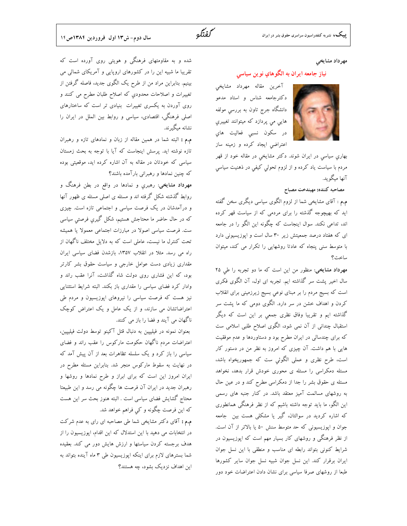

#### مهرداد مشايخي

#### نياز جامعه ايران به الگوهاي نوين سياسي

آخرين مقاله مهرداد مشايخي دکترجامعه شناس و استاد مدعو دانشگاه جرج تاون به بررسی مولفه هایی می پردازد که میتوانند تغییری در سکون نسبی فعالیت های اعتراضی ایجاد کرده و زمینه ساز

بهاری سیاسی در ایران شوند. دکتر مشایخی در مقاله خود از قهر مردم با سیاست یاد کرده و از لزوم تحولی کیفی در ذهنیت سیاسی آنها میگوید.

# مصاحبه كننده: مهيندخت مصباح

م.م : آقای مشایخی شما از لزوم الگوی سیاسی دیگری سخن گفته اید که بهیچوجه گذشته را برای مردمی که از سیاست قهر کرده اند، تداعی نکند. سوال اینجاست که چگونه این الگو را در جامعه ای که هفتاد درصد جمعیتش زیر ۳۰ سال است و اپوزیسیونی دارد با متوسط سنی پنجاه که عادتا روشهایی را تکرار می کند، میتوان ساخت؟

مهرداد مشایخی: منظور من این است که ما دو تجربه را طی ۲۵ سال اخیر پشت سر گذاشته ایم. تجربه ای اول، آن الگوی فکری است که بسیج مردم را بر مبنای نوعی بسیج زیرزمینی برای انقلاب کردن و اهداف خشن در سر دارد. الگوی دومی که ما پشت سر گذاشته ایم و تقریبا وفاق نظری جمعی بر این است که دیگر استقبال چندانی از آن نمی شود، الگوی اصلاح طلبی اسلامی ست که برای چندسالی در ایران مطرح بود و دستاوردها و عدم موفقیت هایی با هم داشت. آن چیزی که امروز به نظر من در دستور کار است، طرح نظری و عملی الگوئی ست که جمهوریخواه باشد، مسئله دمکراسی را مسئله ی محوری خودش قرار بدهد، نخواهد مسئله ی حقوق بشر را جدا از دمکراسی مطرح کند و در عین حال به روشهای مسالمت آمیز معتقد باشد. در کنار جنبه های رسمی این الگو، ما باید توجه داشته باشیم که از نظر فرهنگی همانطوری که اشاره کردید در سوالتان، گیر یا مشکلی هست بین ِ جامعه جوان و اپوزیسیونی که حد متوسط سنش ۵۰ یا بالاتر از آن است. از نظر فرهنگی و روشهای کار بسیار مهم است که اپوزیسیون در شرایط کنونی بتواند رابطه ای مناسب و منطقی با این نسل جوان ایران برقرار کند. این نسل جوان شبیه نسل جوان سایر کشورها طبعا از روشهای صرفا سیاسی برای نشان دادن اعتراضات خود دور

شده و به مقاومتهای فرهنگی و هویتی روی آورده است که تقریبا ما شبیه این را در کشورهای اروپایی و آمریکای شمالی می بینیم. بنابراین مراد من از طرح یک الگوی جدید، فاصله گرفتن از تغييرات و اصلاحات محدودي كه اصلاح طلبان مطرح مى كنند و روی آوردن به یکسری تغییرات بنیادی تر است که ساختارهای اصلی فرهنگی، اقتصادی، سیاسی و روابط بین الملل در ایران را نشانه میگیرند.

م.م : البته شما در همین مقاله از زبان و نمادهای تازه و رهبران تازه نوشته اید. پرسش اینجاست که آیا با توجه به بحث زمستان سیاسی که خودتان در مقاله به آن اشاره کرده اید، موقعیتی بوده که چنین نمادها و رهبرانی بارآمده باشند؟

مهرداد مشایخی: رهبری و نمادها در واقع در بطن فرهنگ و روابط گذشته شکل گرفته اند و مسئله ی اصلی مسئله ی ظهور آنها و درآمدشان در یک فرصت سیاسی و اجتماعی تازه است. چیزی که در حال حاضر ما محتاجش هستیم، شکل گیری فرصتی سیاسی ست. فرصت سیاسی اصولا در مبارزات اجتماعی معمولا یا همیشه تحت کنترل ما نیست، عاملی است که به دلایل مختلف ناگهان از راه می رسد. مثلا در انقلاب ۱۳۵۷، بازشدن فضای سیاسی ایران مقداری زیادی دست عوامل خارجی و سیاست حقوق بشر کارتر بود، که این فشاری روی دولت شاه گذاشت، آنرا عقب راند و وادار کرد فضای سیاسی را مقداری باز بکند. البته شرایط استثنایی نیز هست که فرصت سیاسی را نیروهای اپوزیسیون و مردم طی اعتراضاتشان می سازند، و از یک عامل و یک اعتراض کوچک ناگهان می آیند و فضا را باز می کنند.

بعنوان نمونه در فیلیپین به دنبال قتل آکینو توسط دولت فیلیپین، اعتراضات مردم ناگهان حکومت مارکوس را عقب راند و فضای سیاسی را باز کرد و یک سلسله تظاهرات بعد از آن پیش آمد که در نهایت به سقوط مارکوس منجر شد. بنابراین مسئله مطرح در ایران امروز این است که برای ابراز و طرح نمادها و روشها و رهبران جدید در ایران آن فرصت ها چگونه می رسد و این طبیعتا محتاج گشایش فضای سیاسی است . البته هنوز بحث سر این هست که این فرصت چگونه و کی فراهم خواهد شد.

**م.م :** آقای دکتر مشایخی شما طی مصاحبه ای رای به عدم شرکت در انتخابات می دهید با این استدلال که این اقدام، اپوزیسیون را از هدف برجسته کردن سیاستها و ارزش هایش دور می کند. بعقیده شما بسترهای لازم برای اینکه اپوزیسیون طی ۳ ماه آینده بتواند به این اهداف نزدیک بشود، چه هستند؟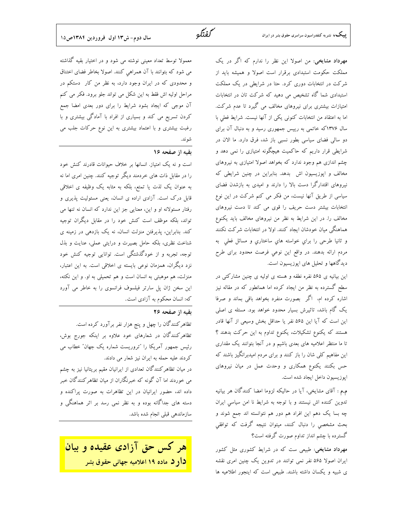مهرداد مشایخی: من اصولا این نظر را ندارم که اگر در یک مملکت حکومت استبدادی برقرار است اصولا و همیشه باید از شرکت در انتخابات دوری کرد. حتا در شرایطی در یک مملکت استبدادی شما گاه تشخیص می دهید که شرکت تان در انتخابات امتیازات بیشتری برای نیروهای مخالف می گیرد تا عدم شرکت. اما به اعتقاد من انتخابات كنوني يكي از آنها نيست. شرايط فعلي با سال ۱۳۷۶که خاتمی به رییس جمهوری رسید و به دنبال آن برای دو سال<sub>ی</sub> فضای سیاسی بطور نسبی باز شد، فرق دارد. ما الان در شرایطی قرار داریم که حاکمیت هیچگونه امتیازی را نمی دهد و چشم اندازی هم وجود ندارد که بخواهد اصولا امتیازی به نیروهای مخالف و اپوزیسیون اش بدهد. بنابراین در چنین شرایطی که نیروهای اقتدارگرا دست بالا را دارند و امیدی به بازشدن فضای سیاسی از طریق آنها نیست، من فکر می کنم شرکت در این نوع انتخابات بیشتر دست حریف را قوی می کند تا دست نیروهای مخالف را. در این شرایط به نظر من نیروهای مخالف باید یکنوع هماهنگی میان خودشان ایجاد کنند. اولا در انتخابات شرکت نکنند و ثانيا طرحي را براي خواسته هاي ساختاري و مسائل فعلي به مردم ارائه بدهند. در واقع این نوعی فرصت محدود برای طرح دیدگاهها و تحلیل های اپوزیسیون است.

این بیانیه ی ۵۶۵ نفره نطفه و هسته ی اولیه ی چنین مشارکتی در سطح گسترده به نظر من ایجاد کرده اما همانطور که در مقاله نیز اشاره کرده ام، اگر بصورت منفرد بخواهد باقی بماند و صرفا یک گام باشد، تاثیرش بسیار محدود خواهد بود. مسئله ی اصلی این است که آیا این ۵۶۵ نفر یا حداقل بخش وسیعی از آنها قادر هستند که یکنوع تشکیلات، یکنوع تداوم به این حرکت بدهند ؟ تا ما منتظر اعلامیه های بعدی باشیم و در آنجا بتوانند یک مقداری این مفاهیم کلی شان را باز کنند و برای مردم امیدبرانگیز باشند که حس بکنند یکنوع همکاری و وحدت عمل در میان نیروهای اپوزیسیون داخل ایجاد شده است.

م.م : آقای مشایخی، آیا در حالیکه لزوما امضا کنندگان هر بیانیه تدوین کننده اش نیستند و با توجه به شرایط نا امن سیاسی ایران چه بسا یک دهم این افراد هم دور هم نتوانسته اند جمع شوند و بحث مشخصی را دنبال کنند، میتوان نتیجه گرفت که توافقی گسترده با چشم انداز تداوم صورت گرفته است؟

مهرداد مشایخی: طبیعی ست که در شرایط کشوری مثل کشور ایران اصولا ۵۶۵ نفر نمی توانند در تدوین یک چنین امری نقشه ی شبیه و یکسان داشته باشند. طبیعی است که اینجور اطلاعیه ها

سال دوم- ش١٣ اول فروردين ١٣٨٤ص١٥

معمولا توسط تعداد معینی نوشته می شود و در اختیار بقیه گذاشته می شود که بتوانند با آن همراهی کنند. اصولا بخاطر فضای اختناق و محدودی که در ایران وجود دارد، به نظر من کار دستکم در مراحل اولیه اش فقط به این شکل می تواند جلو برود. فکر می کنم آن موجی که ایجاد بشود شرایط را برای دور بعدی امضا جمع کردن تسریع می کند و بسیاری از افراد با آمادگی بیشتری و با رغبت بیشتری و با اعتماد بیشتری به این نوع حرکات جلب می شوند.

# بقيه از صفحه ١۶

است و نه یک امتیاز. انسانها بر خلاف حیوانات قادرند کنش خود را در مقابل ذات های خردمند دیگر توجیه کنند. چنین امری اما نه به عنوان یک لذت یا تمتع، بلکه به مثابه یک وظیفه ی اخلاقی قابل درک است. آزادی اراده ی انسان، یعنی مسئولیت پذیری و رفتار مسئولانه او و این، معنایی جز این ندارد که انسان نه تنها می تواند، بلکه موظف است کنش خود را در مقابل دیگران توجیه کند. بنابراین، پذیرفتن منزلت انسان، نه یک بازدهی در زمینه ی شناخت نظری، بلکه حامل بصیرت و درایتی عملی، عنایت و بذل توجه، تجربه و از خودگذشتگی است. توانایی توجیه کنش خود نزد دیگران، همزمان نوعی بایسته ی اخلاقی است. به این اعتبار، منزلت، هم موهبتی به انسان است و هم تحمیلی به او. و این نکته، این سخن ژان پل سارتر فیلسوف فرانسوی را به خاطر می آورد که: انسان محکوم به آزادی است.

# تقيه از صفحه ٢۶

تظاهرکنندگان را چهل و پنج هزار نفر برآورد کرده است. تظاهرکنندگان در شعارهای خود علاوه بر اینکه جورج بوش، رئیس جمهور آمریکا را "تروریست شماره یک جهان" خطاب می کردند علیه حمله به ایران نیز شعار می دادند.

در میان تظاهر کنندگان تعدادی از ایرانیان مقیم بریتانیا نیز به چشم می خوردند اما آن گونه که خبرنگاران از میان تظاهرکنندگان خبر داده اند، حضور ایرانیان در این تظاهرات به صورت پراکنده و دسته های جداگانه بوده و به نظر نمی رسد بر اثر هماهنگی و سازماندهی قبلی انجام شده باشد.



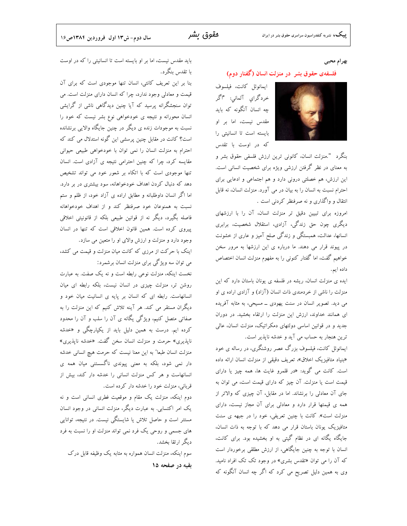#### بهرام محبى

#### فلسفهى حقوق بشر ً در منزلت انسان (گفتار دوم)

ايمانوئل كانت، فيلسوف خردگرای آلمانی: "اگر چه انسان آنگونه که باید مقدس نیست، اما بر او بایسته است تا انسانیتی را که در اوست با تقدس

بنگرد ".منزلت انسان، كانونى ترين ارزش فلسفى حقوق بشر و به معنای در نظر گرفتن ارزشی ویژه برای شخصیت انسانی است. این ارزش، هم خصلتی درونی دارد و هم اجتماعی و ادعایی برای احترام نسبت به انسان را به بیان در می آورد. منزلت انسان، نه قابل انتقال و واگذاری و نه صرفنظر کردنی است .

امروزه برای تبیین دقیق تر منزلت انسان، آن را با ارزشهای دیگری چون حق زندگی، آزادی، استقلال شخصیت، برابری انسانها، عدالت، همبستگی و زندگی صلح آمیز و عاری از خشونت در پیوند قرار می دهند. ما درباره ی این ارزشها به مرور سخن خواهیم گفت، اما گفتار کنونی را به مفهوم منزلت انسان اختصاص داده ايم.

ایده ی منزلت انسان، ریشه در فلسفه ی یونان باستان دارد که این منزلت را ناشی از خردمندی ذات انسان (آزاد) و آزادی اراده ی او می دید. تصویر انسان در سنت یهودی ــ مسیحی، به مثابه آفریده ای همانند خداوند، ارزش این منزلت را ارتقاء بخشید. در دوران جدید و در قوانین اساسی دولتهای دمکراتیک، منزلت انسان، عالی ترین هنجار به حساب می آید و خدشه ناپذیر است.

ایمانوئل کانت، فیلسوف بزرگ عصر روشنگری، در رساله ی خود «بنیاد متافیزیک اخلاق»، تعریف دقیقی از منزلت انسان ارائه داده است. کانت می گوید: «در قلمرو غایت ها، همه چیز یا دارای قیمت است یا منزلت. آن چیز که دارای قیمت است، می توان به جای آن معادلی را برنشاند. اما در مقابل، آن چیزی که والاتر از همه ی قیمتها قرار دارد و معادلی برای آن مجاز نیست، دارای منزلت است». کانت با چنین تعریفی، خود را در جبهه ی سنت متافیزیک یونان باستان قرار می دهد که با توجه به ذات انسان، جایگاه یگانه ای در نظام گیتی به او بخشیده بود. برای کانت، انسان با توجه به چنین جایگاهی، از ارزش مطلقی برخوردار است که آن را می توان «تقدس بشری» در وجود تک تک افراد نامید. وی به همین دلیل تصریح می کرد که اگر چه انسان آنگونه که

باید مقدس نیست، اما بر او بایسته است تا انسانیتی را که در اوست با تقدس بنگرد.

بنا بر این تعریف کانتی، انسان تنها موجودی است که برای آن قیمت و معادلی وجود ندارد، چرا که انسان دارای منزلت است. می توان سنجشگرانه پرسید که آیا چنین دیدگاهی ناشی از گرایشی انسان محورانه و نتیجه ی خودخواهی نوع بشر نیست که خود را نسبت به موجودات زنده ی دیگر در چنین جایگاه والایی برنشانده است؟ کانت در مقابل چنین پرسشی این گونه استدلال می کند که احترام به منزلت انسان را نمی توان با خودخواهی طبیعی حیوانی مقایسه کرد، چرا که چنین احترامی نتیجه ی آزادی است. انسان تنها موجودی است که با اتکاء بر شعور خود می تواند تشخیص دهد که دنبال کردن اهداف خودخواهانه، سود بیشتری در بر دارد. اما اگر انسان داوطلبانه و مطابق اراده ی آزاد خود، از ظلم و ستم نسبت به همنوعان خود صرفنظر كند و از اهداف خودخواهانه فاصله بگیرد، دیگر نه از قوانین طبیعی بلکه از قانونیتی اخلاقی پیروی کرده است. همین قانون اخلاقی است که تنها در انسان وجود دارد و منزلت و ارزش والای او را متعین می سازد.

اینک با حرکت از مرزی که کانت میان منزلت و قیمت می کشد، می توان سه ویژگی برای منزلت انسان برشمرد:

نخست اینکه، منزلت نوعی رابطه است و نه یک صفت. به عبارت روشن تر، منزلت چیزی در انسان نیست، بلکه رابطه ای میان انسانهاست. رابطه ای که انسان بر پایه ی انسانیت میان خود و دیگران مستقر می کند. هر آینه تلاش کنیم که این منزلت را به صفاتی متصل کنیم، ویژگی یگانه ی آن را سلب و آن را محدود کرده ایم. درست به همین دلیل باید از یکپارچگی و «خدشه ناپذیری» حرمت و منزلت انسان سخن گفت. «خدشه ناپذیری» منزلت انسان طبعا" به این معنا نیست که حرمت هیچ انسانی خدشه دار نمی شود، بلکه به معنی پیوندی ناگسستنی میان همه ی انسانهاست و هر کس منزلت انسانی را خدشه دار کند، بیش از قربانی، منزلت خود را خدشه دار کرده است.

دوم اینکه، منزلت یک مقام و موقعیت فطری انسانی است و نه یک امر اکتسابی. به عبارت دیگر، منزلت انسانی در وجود انسان مستتر است و حاصل تلاش یا شایستگی نیست. در نتیجه، توانایی های جسمی و روحی یک فرد نمی تواند منزلت او را نسبت به فرد دیگر ارتقا بخشد.

سوم اینکه، منزلت انسان همواره به مثابه یک وظیفه قابل درک بقيه در صفحه ١۵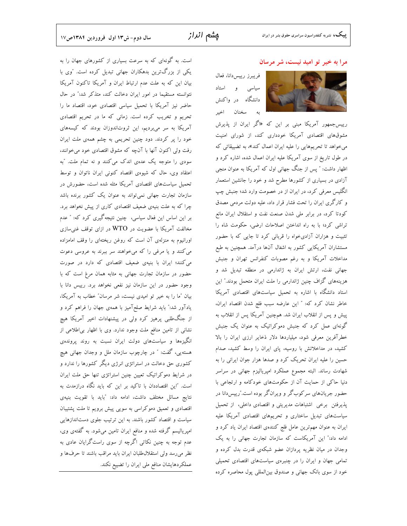#### مرا به خیر تو امید نیست، شر مرسان

فريبرز رييس دانا، فعال سیاسی و استاد دانشگاه در واکنش سخنان اخير به



رییسجمهور آمریکا مبنی بر این که «اگر ایران از پذیرش مشوقهای اقتصادی آمریکا خودداری کند، از شورای امنیت میخواهد تا تحریمهایی را علیه ایران اعمال کند»، به تضییقاتی که در طول تاریخ از سوی آمریکا علیه ایران اعمال شده، اشاره کرد و اظهار داشت: " پس از جنگ جهانی اول که آمریکا به عنوان منجی آزادی در بسیاری از کشورها مطرح شد و خود را جانشین استعمار انگلیس معرفی کرد، در ایران از در خصومت وارد شد؛ جنبش چپ و کارگری ایران را تحت فشار قرار داد، علیه دولت مردمی مصدق کودتا کرد، در برابر ملی شدن صنعت نفت و استقلال ایران مانع تراشی کرد؛ با به راه انداختن اصلاحات ارضی، حکومت شاه را تثبیت و هزاران آزادیخواه را قربانی کرد تا جایی که با حضور مستشاران آمریکایی کشور به اشغال آنها درآمد. همچنین به طبع مداخلات آمریکا و به رغم مصوبات کنفرانس تهران و جنبش جهانی نفت، ارتش ایران به ژاندارمی در منطقه تبدیل شد و هزینههای گزاف چنین ژاندارمی را ملت ایران متحمل بودند." این استاد دانشگاه با اشاره به تحمیل سیاستهای اقتصادی آمریکا خاطر نشان كرد كه: " اين عارضه سبب فلج شدن اقتصاد ايران، پیش و پس از انقلاب ایران شد. همچنین آمریکا پس از انقلاب به گونهای عمل کرد که جنبش دموکراتیک به عنوان یک جنبش خطرآفرین معرفی شود، میلیاردها دلار ذخایر ارزی ایران را بالا کشید، در مداخلاتش با روسیه، پای ایران را وسط کشید، صدام حسین را علیه ایران تحریک کرد و صدها هزار جوان ایرانی را به شهادت رساند. البته مجموع عملکرد امپریالیزم جهانی در سراسر دنیا حاکی از حمایت آن از حکومتهای خودکامه و ارتجاعی با حضور جریانهای سرکوبگر و ویرانگر بوده است.″رییسدانا در پذیرفتن برخی اشتباهات مدیریتی و اقتصادی داخلی، از تحمیل سیاستهای تبدیل ساختاری و تحریمهای اقتصادی آمریکا علیه ایران به عنوان مهمترین عامل فلج کنندهی اقتصاد ایران یاد کرد و ادامه داد:" این آمریکاست که سازمان تجارت جهانی را به یک وجدان در میان نظریه پردازان عضو شبکهی قدرت بدل کرده و تمامی جهان و ایران را در چنبرهی سیاستهای اقتصادی تحمیلی خود از سوی بانک جهانی و صندوق بین|لمللی پول محاصره کرده

است. به گونهای که به سرعت بسیاری از کشورهای جهان را به یکی از بزرگ ترین بدهکاران جهانی تبدیل کرده است. "وی با بیان این که به علت عدم ارتباط ایران و آمریکا تاکنون آمریکا نتوانسته مستقیما در امور ایران دخالت کند، متذکر شد:" در حال حاضر نیز آمریکا با تحمیل سیاسی اقتصادی خود، اقتصاد ما را تحریم و تخریب کرده است. زمانی که ما در تحریم اقتصادی آمریکا به سر میبردیم، این ثروتاندوزان بودند که کیسههای خود را پر کردند. دود چنین تحریمی به چشم همهی ملت ایران رفت ولی اکنون آنها با آنچه که مشوق اقتصادی خود می خوانند، سودی را متوجه یک عدهی اندک می کنند و نه تمام ملت. "به اعتقاد وي، حال كه شيوهي اقتصاد كنوني ايران ناتوان و توسط تحمیل سیاستهای اقتصادی آمریکا مثله شده است، حضورش در سازمان تجارت جهانی نمیتواند به عنوان یک کشور برنده باشد چرا که به علت بنیهی ضعیف اقتصادی کاری از پیش نخواهد برد. بر این اساس این فعال سیاسی، چنین نتیجهگیری کرد که: " عدم مخالفت آمریکا با عضویت در WTO در ازای توقف غنی سازی اورانیوم به منزلهی آن است که روغن ریختهای را وقف امامزاده می کنند و یا مرغی را که میخواهند سر ببرند به عروسی دعوت می کنند؛ ایران با بنیهی ضعیف اقتصادی که دارد در صورت حضور در سازمان تجارت جهانی به مثابه همان مرغ است که با وجود حضور در این سازمان نیز نفعی نخواهد برد. رییس دانا با بیان "ما را به خیر تو امیدی نیست، شر مرسان" خطاب به آمریکا، یادآور شد:" باید شرایط صلحآمیز با همهی جهان را فراهم کرد و از جنگطلبی پرهیز کرد ولی در پیشنهادات اخیر آمریکا هیچ نشانی از تامین منافع ملت وجود ندارد. وی با اظهار بی|طلاعی از انگیزهها و سیاستهای دولت ایران نسبت به روند پروندهی هسته یی، گفت: " در چارچوب سازمان ملل و وجدان جهانی هیچ کشوری حق دخالت در استراتژی انرژی دیگر کشورها را ندارد و در شرایط دموکراتیک تعیین چنین استراتژی تنها حق ملت ایران است. "این اقتصاددان با تاکید بر این که باید نگاه درازمدت به نتايج مسائل مختلف داشت، ادامه داد: "بايد با تقويت بنيهي اقتصادی و تعمیق دموکراسی به سویی پیش برویم تا ملت پشتیبان سیاست و اقتصاد کشور باشند. به این ترتیب جلوی دستاندازهایی امپریالیسم گرفته شده و منافع ایران تامین میشود. به گفتهی وی، عدم توجه به چنین نکاتبی اگرچه از سوی راستگرایان عادی به نظر می رسد ولی استقلال طلبان ایران باید مراقب باشند تا حرفها و عملکردهایشان منافع ملی ایران را تضییع نکند.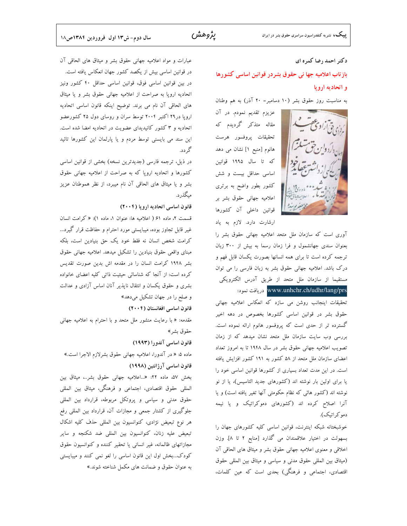# دکتر احمد رضا کمره ای بازتاب اعلامیه جها نی حقوق بشردر قوانین اساسی کشورها و اتحادیه اروپا

به مناسبت روز حقوق بشر (١٠ دسامبر= ٢٠ آذر) به هم وطنان

عزیزم تقدیم نمودم. در آن مقاله متذکر گردیدم که تحقيقات پروفسور هرست هانوم [منبع ۱] نشان می دهد كه تا سال ۱۹۹۵ قوانين اساسی حداقل بیست و شش كشور بطور واضح به برترى اعلامیه جهانی حقوق بشر بر قوانین داخلی آن کشورها

ارشارت دارد. لازم به ياد آوری است که سازمان ملل متحد اعلامیه جهانی حقوق بشر را بعنوان سندی جهانشمول و فرا زمان رسما به بیش از ۳۰۰ زبان ترجمه كرده است تا براي همه انسانها بصورت يكسان قابل فهم و درک باشد. اعلامیه جهانی حقوق بشر به زبان فارسی را می توان مستقیما از سازمان ملل متحد از طریق آدرس الکترویکی

www.unhchr.ch/udhr/lang/prs دريافت نمود:

تحقیقات اینجانب روشن می سازد که انعکاس اعلامیه جهانی حقوق بشر در قوانین اساسی کشورها بخصوص در دهه اخیر گسترده تر از حدی است که پروفسور هانوم ارائه نموده است. بررسی وب سایت سازمان ملل متحد نشان میدهد که از زمان تصویب اعلامیه جهانی حقوق بشر در سال ۱۹۴۸ تا به امروز تعداد اعضای سازمان ملل متحد از ۵۸ کشور به ۱۹۱ کشور افزایش یافته است. در این مدت تعداد بسیاری از کشورها قوانین اساسی خود را یا برای اولین بار نوشته اند (کشورهای جدید التاسیس)، یا از نو نوشته اند (کشور هائی که نظام حکومتی آنها تغیر یافته است) و یا آنرا اصلاح کرده اند (کشورهای دموکراتیک و یا نیمه دمو کر اتیک).

خوشبختانه شبکه اینترنت، قوانین اساسی کلیه کشورهای جهان را بسهولت در اختیار علاقمندان می گذارد [منابع ۲ تا ۸]. وزن اخلاقی و معنوی اعلامیه جهانی حقوق بشر و میثاق های الحاقی آن (ميثاق بين المللي حقوق مدنى و سياسى و ميثاق بين المللي حقوق اقتصادی، اجتماعی و فرهنگی) بحدی است که عین کلمات،

عبارات و مواد اعلامیه جهانی حقوق بشر و میثاق های الحاقی آن در قوانین اساسی بیش از یکصد کشور جهان انعکاس یافته است. در بین قوانین اساسی فوق، قوانین اساسی حداقل ۴۰ کشور ونیز اتحادیه اروپا به صراحت از اعلامیه جهانی حقوق بشر و یا میثاق های الحاقی آن نام می برند. توضیح اینکه قانون اساسی اتحادیه اروپا در۲۹ اکتبر ۲۰۰۴ توسط سران و روسای دول ۲۵ کشورعضو اتحادیه و ۳ کشور کانیدیدای عضویت در اتحادیه امضا شده است. این سند می بایسنی توسط مردم و یا پارلمان این کشورها تائید گر دد.

در ذیل، ترجمه فارسی (جدیدترین نسخه) بخشی از قوانین اساسی کشورها و اتحادیه اروپا که به صراحت از اعلامیه جهانی حقوق بشر و يا ميثاق هاى الحاقى آن نام ميبرد، از نظر هموطنان عزيز مىگذر د.

#### قانون اساسی اتحادیه اروپا (۲۰۰۴)

قسمت ٢، ماده ۶۱ ( اعلامیه ها: عنوان ١، ماده ١): « كرامت انسان غیر قابل تجاوز بوده، میبایستی مورد احترام و حفاظت قرار گیرد… كرامت شخص انسان نه فقط خود يك حق بنيادين است، بلكه مبنای واقعی حقوق بنیادین را تشکیل میدهد. اعلامیه جهانی حقوق بشر ۱۹۴۸ کرامت انسان را در مقدمه اش بدین صورت تقدیس کرده است: از آنجا که شناسائی حیثیت ذاتی کلیه اعضای خانواده بشری و حقوق یکسان و انتقال ناپذیر آنان اساس آزادی و عدالت و صلح را در جهان تشکیل میدهد»

قانون اساسی افغانستان (۲۰۰۴)

مقدمه: « با رعايت منشور ملل متحد و با احترام به اعلاميه جهاني حقوق بشر»

قانون اساسی آندورا (۱۹۹۳)

ماده ۵: « در آندورا، اعلامیه جهانی حقوق بشرلازم الاجرا است.» قانون اساسی آرژانتین (۱۹۹۸)

بخش ۵۷، ماده ۲۲: «...اعلامیه جهانی حقوق بشر..، میثاق بین المللي حقوق اقتصادي، اجتماعي و فرهنگي، ميثاق بين المللي حقوق مدنی و سیاسی و پروتکل مربوطه، قرارداد بین المللی جلوگیری از کشتار جمعی و مجازات آن، قرارداد بین المللی رفع هر نوع تبعیض نژادی، کنوانسیون بین المللی حذف کلیه اشکال تبعیض علیه زنان، کنوانسیون بین المللی ضد شکنجه و سایر مجازاتهای ظالمانه، غیر انسانی یا تحقیر کننده و کنوانسیون حقوق کودک…بخش اول این قانون اساسی را لغو نمی کنند و میبایستی به عنوان حقوق و ضمانت های مکمل شناخته شوند.»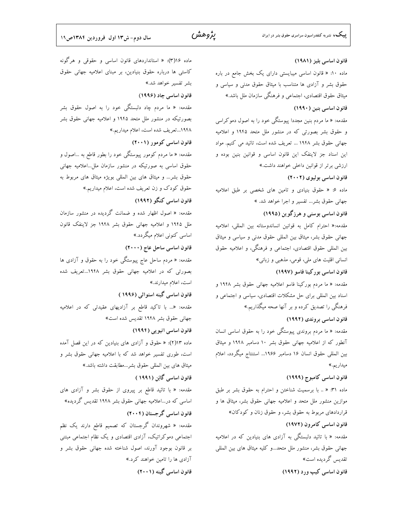ماده ۱۶(۳): « استانداردهای قانون اساسی و حقوقی و هرگونه قانون اساسی بلیز (۱۹۸۱) کاستی ها درباره حقوق بنیادین، بر مبنای اعلامیه جهانی حقوق ماده ۱۰: « قانون اساسی میبایستی دارای یک بخش جامع در باره بشر تفسیر خواهد شد.» حقوق بشر و آزادی ها متناسب با میثاق حقوق مدنی و سیاسی و قانون اساسی چاد (۱۹۹۶) میثاق حقوق اقتصادی، اجتماعی و فرهنگی سازمان ملل باشد.» مقدمه: « ما مردم چاد دلبستگی خود را به اصول حقوق بشر قانون اساسی بنین (۱۹۹۰) بصورتیکه در منشور ملل متحد ۱۹۴۵ و اعلامیه جهانی حقوق بشر مقدمه: « ما مردم بنین مجددا پیوستگی خود را به اصول دموکراسی ۱۹۴۸...تعریف شده است، اعلام میداریم.» و حقوق بشر بصورتی که در منشور ملل متحد ۱۹۴۵ و اعلامیه قانون اساسی کومور (۲۰۰۱) جهانی حقوق بشر ۱۹۴۸ ... تعریف شده است، تائید می کنیم. مواد مقدمه: « ما مردم کومور پیوستگی خود را بطور قاطع به …اصول و این اسناد جز لاینفک این قانون اساسی و قوانین بنین بوده و حقوق اساسی به صورتیکه در منشور سازمان ملل…اعلامیه جهانی ارزشی برتر از قوانین داخلی خواهند داشت.» حقوق بشر... و میثاق های بین المللی بویژه میثاق های مربوط به قانون اساسی بولیوی (۲۰۰۲) حقوق کودک و زن تعریف شده است، اعلام میداریم.» ماده ۶: « حقوق بنیادی و تامین های شخصی بر طبق اعلامیه قانون اساسی کنگو (۱۹۹۲) جهانی حقوق بشر... تفسیر و اجرا خواهد شد. » مقدمه: « اصول اظهار شده و ضمانت گردیده در منشور سازمان قانون اساسی بوسنی و هرزگوین (۱۹۹۵) ملل ۱۹۴۵ و اعلامیه جهانی حقوق بشر ۱۹۴۸ جز لاینفک قانون مقدمه:« احترام كامل به قوانين انساندوستانه بين المللي، اعلاميه اساسی کنونی اعلام میگردد.» جهانی حقوق بشر، میثاق بین المللی حقوق مدنی و سیاسی و میثاق قانون اساسی ساحل عاج (۲۰۰۰) بین المللی حقوق اقتصادی، اجتماعی و فرهنگی، و اعلامیه حقوق مقدمه: « مردم ساحل عاج پیوستگی خود را به حقوق و آزادی ها انسانی اقلیت های ملی، قومی، مذهبی و زبانی» بصورتی که در اعلامیه جهانی حقوق بشر ۱۹۴۸...تعریف شده قانون اساسی بورکینا فاسو (۱۹۹۷) است، اعلام میدارند.» مقدمه: « ما مردم بوركينا فاسو اعلاميه جهاني حقوق بشر ۱۹۴۸ و قانون اساسی گینه استوائی (۱۹۹۶) اسناد بین المللی برای حل مشکلات اقتصادی، سیاسی و اجتماعی و مقدمه: «... با تاکید قاطع بر آزادیهای عقیدتی که در اعلامیه فرهنگی را تصدیق کرده و بر آنها صحه میگذاریم.» جهانی حقوق بشر ۱۹۴۸ تقدیس شده است» قانون اساسی بروندی (۱۹۹۲) قانون اساسی اتیویی (۱۹۹۴) مقدمه: « ما مردم بروندی پیوستگی خود را به حقوق اساسی انسان آنطور که از اعلامیه جهانی حقوق بشر ۱۰ دسامبر ۱۹۴۸ و میثاق ماده ۱۳(۲): « حقوق و آزادی های بنیادین که در این قصل آمده است، طوری تفسیر خواهد شد که با اعلامیه جهانی حقوق بشر و بین المللی حقوق انسان ۱۶ دسامبر ۱۹۶۶… استنتاج میگردد، اعلام ميثاق هاى بين المللى حقوق بشر...مطابقت داشته باشد.» قانون اساسی گابَن (۱۹۹۱) قانون اساسی کامبوج (۱۹۹۹) ماده ۳۱: « .. با برسمیت شناختن و احترام به حقوق بشر بر طبق مقدمه: « با تائيد قاطع بر پيروي از حقوق بشر و آزادي هاي اساسی که در…اعلامیه جهانی حقوق بشر ۱۹۴۸ تقدیس گردیده» موازین منشور ملل متحد و اعلامیه جهانی حقوق بشر، میثاق ها و قراردادهای مربوط به حقوق بشر، و حقوق زنان و کودکان» قانون اساسی گرجستان (۲۰۰۴) قانون اساسی کامرون (۱۹۷۲) مقدمه: « شهروندان گرجستان که تصمیم قاطع دارند یک نظم مقدمه: « با تائید دلبستگی به آزادی های بنیادین که در اعلامیه اجتماعی دموکراتیک، آزادی اقتصادی و یک نظام اجتماعی مبتنی جهانی حقوق بشر، منشور ملل متحد…و کلیه میثاق های بین المللی بر قانون بوجود آورند، اصول شناخته شده جهانی حقوق بشر و تقدیس گردیده است» آزادی ها را تامین خواهند کرد.» قانون اساسی گینه (۲۰۰۱) قانون اساسی کیپ ورد (۱۹۹۲)

میداریم.»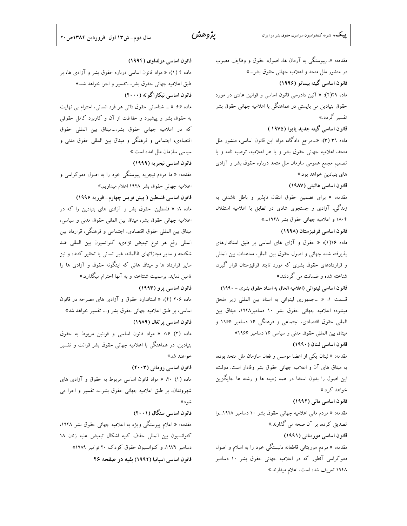ماده ۴ (۱): « مواد قانون اساسی درباره حقوق بشر و آزادی ها، بر

يژوهش

قانون اساسی مولداوی (۱۹۹۴)

مقدمه: «…پیوستگی به آرمان ها، اصول، حقوق و وظایف مصوب در منشور ملل متحد و اعلامیه جهانی حقوق بشر...» قانون اساسی گینه بیسائو (۱۹۹۶) ماده ۲۹(۲): « آئین دادرسی قانون اساسی و قوانین عادی در مورد حقوق بنیادین می بایستی در هماهنگی با اعلامیه جهانی حقوق بشر تفسیر گردد.» قانون اساسی گینه جدید پایوا (۱۹۷۵) ماده ۳۹ (۳): «..مرجع دادگاه، مواد این قانون اساسی، منشور ملل متحد، اعلامیه جهانی حقوق بشر و یا هر اعلامیه، توصیه نامه و یا تصمیم مجمع عمومی سازمان ملل متحد درباره حقوق بشر و آزادی های بنیادین خواهد بود.» قانون اساسی هائیتی (۱۹۸۷) مقدمه: « براى تضمين حقوق انتقال ناپذير و باطل ناشدنى به زندگی، آزادی و جستجوی شادی در تطابق با اعلامیه استقلال ۱۸۰۴ و اعلامیه جهانی حقوق بشر ۱۹۴۸...» قانون اساسی قرقیزستان (۱۹۹۸) ماده ۱۶(۱): « حقوق و آزای های اساسی بر طبق استاندارهای پذیرفته شده جهانی و اصول حقوق بین الملل، معاهدات بین المللی و قراردادهای حقوق بشری که مورد تایئد قرقیزستان قرار گیرد، شناخته شده و ضمانت می گردنند.» قانون اساسی لیتوانی (اعلامیه الحاق به اسناد حقوق بشری - ۱۹۹۰) قسمت ١: « ...جمهوري ليتوانى به اسناد بين المللي زير ملحق میشود: اعلامیه جهانی حقوق بشر ۱۰ دسامبر۱۹۴۸، میثاق بین المللي حقوق اقتصادي، اجتماعي و فرهنگي ۱۶ دسامبر ۱۹۶۶ و میثاق بین المللی حقوق مدنی و سیاسی ۱۶ دسامبر ۱۹۶۶» قانون اساسی لبنان (١٩٩٠) مقدمه: « لبنان يكي از اعضا موسس و فعال سازمان ملل متحد بوده، به میثاق های آن و اعلامیه جهانی حقوق بشر وفادار است. دولت، این اصول را بدون استثنا در همه زمینه ها و رشته ها جایگزین خواهد کر د.» قانون اساسی مالی (۱۹۹۲) مقدمه: « مردم مالی اعلامیه جهانی حقوق بشر ۱۰ دسامبر ۱۹۴۸...را تصدیق کرده، بر آن صحه می گذارند.» قانون اساسی موریتانی (۱۹۹۱) مقدمه: « مردم موریتانی قاطعانه دلبستگی خود را به اسلام و اصول دموکراسی آنطور که در اعلامیه جهانی حقوق بشر ۱۰ دسامبر ۱۹۴۸ تعریف شده است، اعلام میدارند.»

طبق اعلامیه جهانی حقوق بشر....تفسیر و اجرا خواهد شد.» قانون اساسی نیکاراگوئه (۲۰۰۰) ماده ۴۶: « ... شناسائی حقوق ذاتی هر فرد انسانی، احترام بی نهایت به حقوق بشر و پیشبرد و حفاطت از آن و کاربرد کامل حقوقی كه در اعلاميه جهاني حقوق بشر،...ميثاق بين المللي حقوق اقتصادی، اجتماعی و فرهنگی و میثاق بین المللی حقوق مدنی و سیاسی سازمان ملل امده است.» قانون اساسی نیجریه (۱۹۹۹) مقدمه: « ما مردم نیجریه پیوستگی خود را به اصول دموکراسی و اعلامیه جهانی حقوق بشر ۱۹۴۸ اعلام میداریم.» قانون اساسی فلسطین ( پیش نویس چهارم- فوریه ۱۹۹۶) ماده ۸: « فلسطین، حقوق بشر و آزادی های بنیادین را که در اعلاميه جهاني حقوق بشر، ميثاق بين المللي حقوق مدنى و سياسي، میثاق بین المللی حقوق اقتصادی، اجتماعی و فرهنگی، قرارداد بین المللي رفع هر نوع تبعيض نژادي، كنوانسيون بين المللي ضد شکنجه و سایر مجازاتهای ظالمانه، غیر انسانی یا تحقیر کننده و نیز سایر قرارداد ها و میثاق هائی که اینگونه حقوق و آزادی ها را تامین نماید، برسمیت شنتاخته و به آنها احترام میگذارد.» قانون اساسی پرو (۱۹۹۳) ماده ۲۰۶ (۴): « استاندارد حقوق و آزادی های مصرحه در قانون اساسی، بر طبق اعلامیه جهانی حقوق بشر و… تفسیر خواهد شد» قانون اساسی پر تغال (١٩٨٩) ماده (۲) ۱۶: « مواد قانون اساسی و قوانین مربوط به حقوق بنیادین، در هماهنگی با اعلامیه جهانی حقوق بشر قرائت و تفسیر خواهند شد» قانون اساسی رومانی (۲۰۰۳) ماده (۱) ۲۰: « مواد قانون اساسی مربوط به حقوق و آزادی های شهروندان، بر طبق اعلامیه جهانی حقوق بشر...، تفسیر و اجرا می

شود» قانون اساسی سنگال (۲۰۰۱) مقدمه: « اعلام پیوستگی ویژه به اعلامیه جهانی حقوق بشر ۱۹۴۸، كنوانسيون بين المللي حذف كليه اشكال تبعيض عليه زنان ١٨

دسامبر ۱۹۷۹، و کنوانسیون حقوق کودک ۲۰ نوامبر ۱۹۸۹» قانون اساسی اسپانیا (۱۹۹۲) بقیه در صفحه ۲۶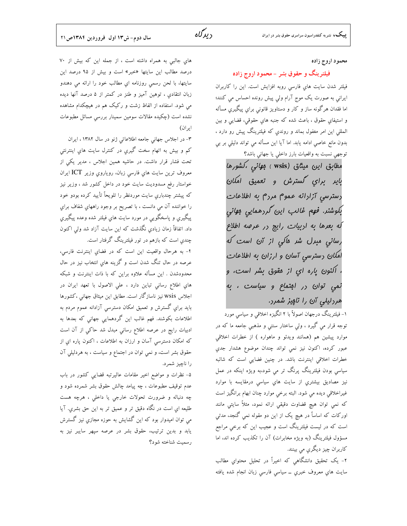محمود اروج زاده

### فیلترینگ و حقوق بشر – محمود اروج زاده

فیلتر شدن سایت های فارسی روبه افزایش است. این را کاربران ایرانی به صورت یک موج آرام ولی پیش رونده احساس می کنند؛ اما فقدان هرگونه ساز و کار و دستاویز قانونی برای پیگیریِ مسأله و استیفای حقوق ، باعث شده که جنبه های حقوقی، قضایی و بین المللی این امر مغفول بماند و روندی که فیلترینگ پیش رو دارد ، بدون مانع خاصی ادامه یابد. اما آیا این مسأله می تواند دلیلی بر بی توجهي نسبت به واقعيات بارز داخلي يا جهاني باشد؟

مط*اب*ق این میث*ا*ق (wsis <sub>)</sub> ب*وانی ،کشورها* باير براي گسترش و تعميق امكان .<br>رسترسي آزارانه عموم مررم به اطلا*عات* بكوشنر. فهم غالب اين كررهمايي بهاني که بعرها به اربیات رایج در عرصه اطلاع رس*انی مبرل شر هاکی از* آن است که امکان رسترسی آسان و ارزان به اطلاعات ، اکنون یاره ای از مقوق بشر است، و نمی توان در افتماع و سیاست ، به هررلیلی آن را ناپیز شمرد.

۱- فیلترینگ درجهان اصولاً با ۲ انگیزه اخلاقی و سیاسی مورد توجه قرار مي گيرد ، ولي ساختار سنتي و مذهبي جامعه ما که در موارد پيشين هم (همانند ويدئو و ماهواره ) از خطرات اخلاقي عبور كرده، اكنون نيز نمى تواند چندان موضوع هشدار جدي خطرات اخلاقی اینترنت باشد. در چنین فضایی است که شائبه سیاسی بودن فیلترینگ پرنگ تر می شود،به ویژه اینکه در عمل نیز مصادیق بیشتری از سایت های سیاسی درمقایسه با موارد غیراخلاقی دیده می شود. البته برخی موارد چنان ابهام برانگیز است که نمی توان هیچ قضاوت دقیقی ارائه نمود، مثلاً سایتی مانند اورکات که اساساً در هیچ یک از این دو مقوله نمی گنجد، مدتی است که در لیست فیلترینگ است و عجیب این که برخی مراجع مسؤول فیلترینگ (به ویژه مخابرات) آن را تکذیب کرده اند، اما کاربران چیز دیگري مي بينند.

۲- یک تحقیق دانشگاهیِ که اخیراً در تحلیل محتوایِ مطالب سایت های معروف خبری ــ سیاسی فارسی زبان انجام شده یافته

هاي جالبي به همراه داشته است ، از جمله اين كه بيش از ٧٠ درصد مطالب این سایتها «خبر» است و بیش از ۹۵ درصد این سايتها، با لحن رسمي روزنامه اي مطالب خود را ارائه مي دهندو زبان انتقادي ، توهين آميز و طنز در كمتر از ۵ درصد آنها ديده می شود. استفاده از الفاظ زشت و رکیک هم در هیچکدام مشاهده نشده است (چکیده مقالات سومین سمینار بررسی مسائل مطبوعات ایر ان)

۳- در اجلاس جهانی جامعه اطلاعاتی ژنو در سال ۱۳۸۲، ایران کم و بیش به اتهام سخت گیری در کنترل سایت های اینترنتی تحت فشار قرار داشت. در حاشیه همین اجلاس ، مدیر یکی از معروف ترين سايت هاي فارسي زبان، روياروي وزير ICT ايران خواستار رفع مسدودیت سایت خود در داخل کشور شد ، وزیر نیز که پیشتر چندباری سایت موردنظر را تلویحاً تأیید کرده بودو خود را خواننده آن مي دانست ، با تصريح بر وجود راههاي شفاف براي پیگیری و پاسخگویی در مورد سایت های فیلتر شده وعده پیگیری داد. اتفاقاً زمان زیادی نگذشت که این سایت آزاد شد ولیِ اکنون چندی است که بازهم در تور فیلترینگ گرفتار است.

۴- به هرحال واقعیت این است که در فضای اینترنت فارسی، عرصه در حال تنگ شدن است و گزینه های انتخاب نیز در حال محدودشدن . این مسأله علاوه براین که با ذات اینترنت و شبکه های اطلاع رسانی تباین دارد ، علی الاصول با تعهد ایران در اجلاس wsis نیز ناسازگار است. مطابق این میثاق جهانی ،کشورها باید برای گسترش و تعمیق امکان دسترسی آزادانه عموم مردم به اطلاعات بکوشند. فهم غالب این گردهمایی جهانی که بعدها به ادبیات رایج در عرصه اطلاع رسانی مبدل شد حاک<sub>ی</sub> از آن است که امکان دسترسی آسان و ارزان به اطلاعات ، اکنون پاره ای از حقوق بشر است، و نمی توان در اجتماع و سیاست ، به هردلیلی آن را ناچيز شمرد.

۵- نظرات و مواضع اخیر مقامات عالیرتبه قضایی کشور در باب عدم توقیف مطبوعات ، چه پیامد چالش حقوق بشر شمرده شود و چه دنباله و ضرورت تحولات خارجی یا داخلی ، هرچه هست طلیعه ای است در نگاه دقیق تر و عمیق تر به این حق بشری. آیا می توان امیدوار بود که این گشایش به حوزه مجازي نیز گسترش یابد و بدین ترتیب، حقوق بشر در عرصه سپهر سایبر نیز به رسميت شناخته شود؟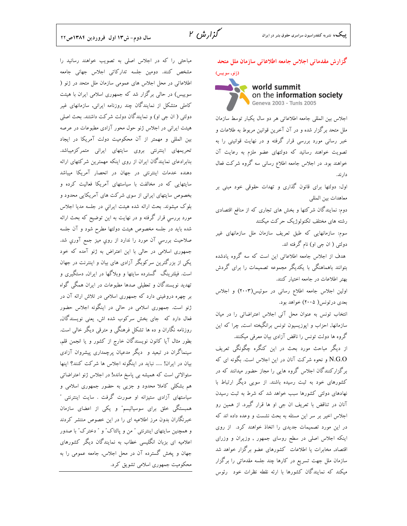#### سال دوم-ش١٣ اول فروردين ١٣٨٤ص٢٢

مباحثی را که در اجلاس اصلی به تصویب خواهند رسانید را مشخص کنند. دومین جلسه تدارکاتی اجلاس جهانی جامعه اطلاعاتی در محل اجلاس های عمومی سازمان ملل متحد در ژنو ( سوییس) در حالی برگزار شد که جمهوری اسلامی ایران با هیئت کاملی متشکل از نمایندگان چند روزنامه ایرانی, سازمانهای غیر دولتی ( ان جی او) و نمایندگان دولت شرکت داشتند. بحث اصلی هیئت ایرانی در اجلاس ژنو حول محور آزادی مطبوعات در عرصه بین المللی و مهمتر از آن محکومیت دولت آمریکا در ایجاد تحریمهای اینترنتی بروی سایتهای ایرانی متمرکزمیباشد. بنابرادعای نمایندگان ایران از روی اینکه مهمترین شرکتهای ارائه دهنده خدمات اینترنتی در جهان در انحصار آمریکا میباشد سایتهایی که در مخالفت با سیاستهای آمریکا فعالیت کرده و بخصوص سایتهای ایرانی از سوی شرکت های آمریکایی محدود و بلوک میشوند. بحث ارائه شده هیئت ایرانی در جلسه مدیا اجلاس مورد بررسی قرار گرفته و در نهایت به این توضیح که بحث ارائه شده باید در جلسه مخصوص هیئت دولتها مطرح شود و آن جلسه صلاحیت بررسی آن مورد را ندارد از روی میز جمع آوری شد. جمهوری اسلامی در حالی با این اعتراض به ژنو آمده که خود یکی از بزرگترین سرکوبگر آزادی های بیان و اینترنت در جهان است. فیلترینگ گسترده سایتها و وبلاگها در ایران, دستگیری و تهدید نویسندگان و تعطیلی صدها مطبوعات در ایران همگی گواه بر چهره دروغینی دارد که جمهوری اسلامی در تلاش ارائه آن در ژنو است. جمهوری اسلامی در حالی در اینگونه اجلاس حضور فعال دارد که جای بخش سرکوب شده اش, یعنی نویسندگان, روزنامه نگاران و ده ها تشکل فرهنگی و مترقی دیگر خالی است. بطور مثال آیا کانون نویسندگان خارج از کشور و یا انجمن قلم, سینماگران در تبعید و ً دیگر مدعیان پرچمداری پیشروان آزادی بیان در ایران! ..... نباید در اینگونه اجلاس ها شرکت کنند؟ اینها سئوالاتی است که همیشه بی پاسخ مانده! در اجلاس ژنو اعتراضاتی هم بشکلی کاملا محدود و جزیی به حضور جمهوری اسلامی و سیاستهای آزادی ستیزانه او صورت گرفت . سایت اینترنتی ″ همبستگی خلق برای سوسیالیسم" و یکی از اعضای سازمان خبرنگاران بدون مرز اطلاعیه ای را در این خصوص منتشر کردند و همچنین سایتهای اینترنتی " من و پالتاک" و " دخترک" با صدور اعلامیه ای بزبان انگلیسی خطاب به نمایندگان دیگر کشورهای جهان و یخش گسترده آن در محل اجلاس, جامعه عمومی را به محکومیت جمهوری اسلامی تشویق کرد.

گزارش مقدماتی اجلاس جامعه اطلاعاتی سازمان ملل متحد

#### (ژنو, سوییس) N world summit on the information society Geneva 2003 - Tunis 2005

اجلاس بین المللی جامعه اطلاعاتی هر دو سال یکبار توسط سازمان ملل متحد برگزار شده و در آن آخرین قوانین مربوط به طلاعات و خبر رسانی مورد بررسی قرار گرفته و در نهایت قوانینی را به تصویت خواهند رسانید که دولتهای عضو ملزم به رعایت آن خواهند بود. در اجلاس جامعه اطلاع رسانی سه گروه شرکت فعال دارند.

اول: دولتها برای قانون گذاری و تهدات حقوقی خود مبنی بر معاهدات بين المللي

دوم: نمایندگان شرکتها و بخش های تجاری که از منافع اقتصادی رشته های مختلف تکنولوژیک حرکت میکنند

سوم: سازمانهایی که طبق تعریف سازمان ملل سازمانهای غیر دولتی ( ان جی او) نام گرفته اند.

هدف از اجلاس جامعه اطلاعاتی این است که سه گروه یادشده بتوانند باهماهنگی با یکدیگر مجموعه تصمیمات را برای گردش بهتر اطلاعات در جامعه اختیار کنند.

اولین اجلاس جامعه اطلاع رسانی در سوئیس(۲۰۰۳) و اجلاس بعدی درتونس( ۲۰۰۵) خواهد بود.

انتخاب تونس به عنوان محل آتی اجلاس اعتراضاتی را در میان سازمانها, احزاب و ایوزیسیون تونس برانگیخته است, چرا که این گروه ها دولت تونس را ناقض آزادی بیان معرفی میکنند.

از دیگر مباحث مورد بحث در این کنگره چگونگی تعریف N.G.O و نحوه شرکت آنان در این اجلاس است. بگونه ای که برگزارکنندگان اجلاس گروه هایی را مجاز حضور میدانند که در کشورهای خود به ثبت رسیده باشند. از سویی دیگر ارتباط با نهادهای دولتی کشورها سبب خواهد شد که شرط به ثبت رسیدن آنان در تناقض با تعریف ان جی او ها قرار گیرد. از همین رو اجلاس اخیر بر سر این مسئله به بحث نشست و وعده داده اند که در این مورد تصمیمات جدیدی را اتخاذ خواهند کرد. از روی اینکه اجلاس اصلی در سطح روسای جمهور , وزیران و وزرای اقتصاد, مخابرات یا اطلاعات کشورهای عضو برگزار خواهد شد سازمان ملل جهت تسریع در کارها چند جلسه مقدماتی را برگزار میکند که نمایندگان کشورها با ارئه نقطه نظرات خود رئوس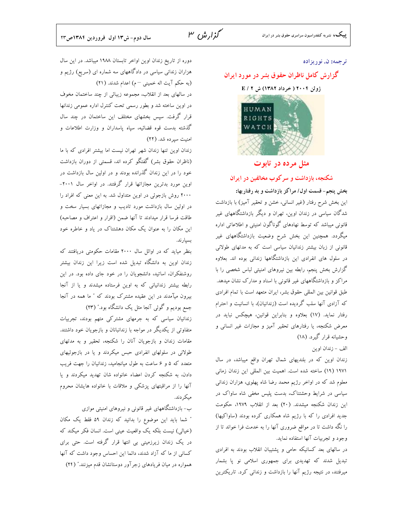# گزارش ۳

#### ترجمه: ن. نوريزاده

### گزارش کامل ناظران حقوق بشر در مورد ایران

ژوئن ۲۰۰۴ ( خرداد ۱۳۸۲) ش E / ۲



# مثل مرده در تابوت

شکنجه، بازداشت و سرکوب مخالفین در ایران

بخش پنجم- قسمت اول/ مراكز بازداشت و بد رفتاريها: این بخش شرح رفتار (غیر انسانی، خشن و تحقیر آمیز) با بازداشت شدگان سیاسی در زندان اوین، تهران و دیگر بازداشتگاههای غیر قانونی میباشد که توسط نهادهای گوناگون امنیتی و اطلاعاتی اداره میگردد. همچنین این بخش شرح وضعیت بازداشتگاههای غیر قانونی از زبان بیشتر زندانیان سیاسی است که به مدتهای طولانی در سلول های انفرادی این بازداشتگاهها زندانی بوده اند. بعلاوه گزارش بخش پنجم، رابطه بین نیروهای امنیتی لباس شخصی را با مراکز و بازداشتگاههای غیر قانونی با اسناد و مدارک نشان میدهد. طبق قوانين بين المللي حقوق بشر، ايران متعهد است با تمام افرادي که آزادی آنها سلب گردیده است (زندانیان)، با انسانیت و احترام رفتار نماید. (١٧) بعلاوه و بنابراین قوانین، هیچکس نباید در معرض شکنجه، یا رفتارهای تحقیر آمیز و مجازات غیر انسانی و وحشیانه قرار گیرد. (۱۸)

الف - زندان اوين

زندان اوین که در بلندیهای شمال تهران واقع میباشد، در سال ۱۹۷۱ (۱۹) ساخته شده است. اهمیت بین المللی این زندان زمانی معلوم شد که در اواخر رژیم محمد رضا شاه پهلوی، هزاران زندانی سیاسی در شرایط وحشتناک، بدست پلیس مخفی شاه ساواک در این زندان شکنجه میشدند. (۲۰) بعد از انقلاب ۱۹۷۹، حکومت جدید افرادی را که با رژیم شاه همکاری کرده بودند (ساواکیها) را نگه داشت تا در مواقع ضروری آنها را به خدمت فرا خواند تا از وجود و تجربیات آنها استفاده نماید.

در سالهای بعد کسانیکه حامی و پشتیبان انقلاب بودند به افرادی تبدیل شدند که تهدیدی برای جمهوری اسلامی نو یا بشمار میرفتند، در نتیجه رژیم آنها را بازداشت و زندانی کرد. تاریکترین

دوره از تاریخ زندان اوین اواخر تابستان ۱۹۸۸ میباشد. در این سال هزاران زندانی سیاسی در دادگاههای سه شماره ای (سریع) رژیم و (به حکم آیت اله خمینی -م) اعدام شدند. (٢١)

در سالهای بعد از انقلاب، مجموعه زیبائی از چند ساختمان مخوف در اوین ساخته شد و بطور رسمی تحت کنترل اداره عمومی زندانها قرار گرفت. سپس بخشهای مختلف این ساختمان در چند سال گذشته بدست قوه قضائیه، سپاه پاسداران و وزارت اطلاعات و امنیت سپرده شد. (٢٢)

زندان اوین تنها زندان شهر تهران نیست اما بیشتر افرادی که با ما (ناظران حقوق بشر) گفتگو کرده اند، قسمتی از دوران بازداشت خود را در این زندان گذرانده بودند و در اولین سال بازداشت در اوین مورد بدترین مجازاتها قرار گرفتند. در اواخر سال ۲۰۰۱-۲۰۰۰ روش بازجوئی در اوین متداول شد. به این معنی که افراد را در اولین سال بازداشت مورد تادیب و مجازاتهای بسیار سخت و طاقت فرسا قرار میدادند تا آنها ضمن (اقرار و اعتراف و مصاحبه) این مکان را به عنوان یک مکان دهشتناک در یاد و خاطره خود بسيارند.

بنظر میاید که در اوائل سال ۲۰۰۰ مقامات حکومتی دریافتند که زندان اوین به دانشگاه تبدیل شده است زیرا این زندان بیشتر روشنفکران، اساتید، دانشجویان را در خود جای داده بود. در این رابطه بیشتر زندانیانی که به اوین فرستاده میشدند و یا از آنجا بیرون میآمدند در این عقیده مشترک بودند که " ما همه در آنجا جمع بودیم و گوئی آنجا مثل یک دانشگاه بود." (۲۳)

زندانیان سیاسی که به جرمهای مشترکی متهم بودند، تجربیات متفاوتی از یکدیگر در مواجه با زندانبانان و بازجویان خود داشتند. مقامات زندان و بازجویان آنان را شکنجه، تحقیر و به مدتهای طولانی در سلولهای انفرادی حبس میکردند و یا در بازجوئیهای متعدد که ۵ و ۶ ساعت به طول میانجامید، زندانیان را جهت فریب دادن، به شکنجه کردن اعضاء خانواده شان تهدید میکردند و یا آنها را از مراقبتهای پزشکی و ملاقات با خانواده هایشان محروم مىكە دند.

ب- بازداشتگاههای غیر قانونی و نیروهای امنیتی موازی " شما باید این موضوع را بدانید که زندان ۵۹ فقط یک مکان (خیالی) نیست بلکه یک واقعیت عینی است. انسان فکر میکند که در یک زندان زیرزمینی بی انتها قرار گرفته است. حتی برای کسانی از ما که آزاد شدند، دائما این احساس وجود داشت که آنها همواره در میان فریادهای زجر آور دوستانشان قدم میزنند." (۲۴)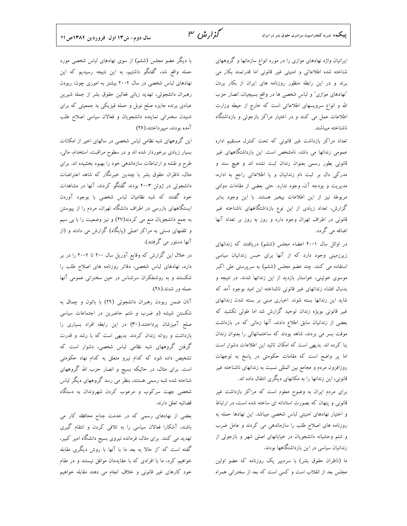ایرانیان واژه نهادهای موازی را در مورد انواع سازمانها و گروههای شناخته شده اطلاعاتی و امنیتی غیر قانونی اما قدرتمند بکار می برند و در این رابطه منظور روزنامه های ایران از بکار بردن "نهادهای موازی" و لباس شخصی ها در واقع بسیجیان، انصار حزب الله و انواع سرویسهای اطلاعاتی است که خارج از حیطه وزارت اطلاعات عمل می کنند و در اختیار مراکز بازجوئی و بازداشتگاه ناشناخته ميباشند.

تعداد مراکز بازداشت غیر قانونی که تحت کنترل مستقیم اداره عمومی زندانها می باشد، نامشخص است. این بازداشتگاههای غیر قانونی بطور رسمی بعنوان زندان ثبت نشده اند و هیچ سند و مدرکی دال بر ثبت نام زندانیان و یا اطلاعاتی راجع به اداره، مدیریت و بودجه آن، وجود ندارد. حتی بعضی از مقامات دولتی مربوطه نیز از این اطلاعات بیخبر هستند. با این وجود بنابر گزارش، تعداد زیادی از این نوع بازداشتگاههای ناشناخته غیر قانونی در اطراف تهران وجود دارد و روز به روز بر تعداد آنها اضافه می گردد.

در اوائل سال ۲۰۰۱ اعضاء مجلس (ششم) دریافتند که زندانهای زیرزمینی وجود دارد که از آنها برای حبس زندانیان سیاسی استفاده می کنند. چند عضو مجلس (ششم) به سرپرستی علی اکبر موسوی خوئینی، خواستار بازدید از این زندانها شدند. در نتیجه و بدنبال افشاء زندانهای غیر قانونی ناشناخته این امید بوجود آمد که شاید این زندانها بسته شوند. اخباری مبنی بر بسته شدن زندانهای غیر قانونی بویژه زندان توحید گزارش شد اما طولی نکشید که بعضی از زندانیان سابق اطلاع دادند، آنها زمانی که در بازداشت موقت بسر می بردند، شاهد بودند که ساختمانهائی را بعنوان زندان بنا کرده اند. بدیهی است که امکان تائید این اطلاعات دشوار است اما پر واضح است که مقامات حکومتی در پاسخ به توجهات روزافزون مردم و مجامع بین المللی نسبت به زندانهای ناشناخته غیر قانونی، این زندانها را به مکانهای دیگری انتقال داده اند.

برای مردم ایران به وضوح معلوم است که مراکز بازداشت غیر قانونی و پنهان که بصورت استادانه ای ساخته شده است، در ارتباط و اختیار نهادهای امنیتی لباس شخصی میباشد. این نهادها حمله به روزنامه های اصلاح طلب را سازماندهی می کردند و عامل ضرب و شتم وحشیانه دانشجویان در خیابانهای اصلی شهر و بازجوئی از زندانیان سیاسی در این بازداشتگاهها بودند.

ما (ناظران حقوق بشر) با سردبیر یک روزنامه که عضو اولین مجلس بعد از انقلاب است و کسی است که بعد از سخنرانی همراه

با دیگر عضو مجلس (ششم) از سوی نهادهای لباس شخصی مورد حمله واقع شد، گفتگو داشتیم، به این نتیجه رسیدیم که این نهادهای لباس شخصی در سال ۲۰۰۴ بیشتر به اموری چون: ربودن رهبران دانشجوئي، تهديد زباني فعالين حقوق بشر از جمله شيرين عبادی برنده جایزه صلح نوبل و حمله فیزیکی به جمعیتی که برای شنیدن سخنرانی نماینده دانشجویان و فعالان سیاسی اصلاح طلب آمده بودند، میپرداختند.(۲۶)

این گروههای شبه نظامی لباس شخصی در سالهای اخیر از امکانات بسیار زیادی برخوردار شده اند و در سطوح مراقبت، استخدام، مالی، طرح و نقشه و ارتباطات سازماندهی خود را بهبود بخشیده اند. برای مثال، ناظران حقوق بشر با چندین خبرنگار که شاهد اعتراضات دانشجوئی در ژوئن ۲۰۰۳ بودند گفتگو کردند، آنها در مشاهدات خود گفتند که شبه نظامیان لباس شخصی با بوجود آوردن ایستگاههای بازرسی در اطراف دانشگاه تهران، مردم را از پیوستن به جمع دانشجویان منع می کردند(٢٧) و نیز وضعیت را با بی سیم و تلفنهای دستی به مراکز اصلی (پایگاه) گزارش می دادند و (از آنها دستور مي گرفتند).

در خلال این گزارش که وقایع آوریل سال ۲۰۰ تا ۲۰۰۴ را در بر دارد، نهادهای لباس شخصی، دفاتر روزنامه های اصلاح طلب را شکستند و به روشنفکران سرشناس در حین سخنرانی عمومی آنها حمله ور شدند.(۲۸).

آنان ضمن ربودن رهبران دانشجوئی (۲۹) با باتون و چماق به شکستن شیشه (و ضرب و شتم حاضرین در اجتماعات سیاسی صلح آمیزشان پرداختند.(۳۰) در این رابطه افراد بسیاری را بازداشت و روانه زندان کردند. بدیهی است که با رشد و قدرت گرفتن گروههای شبه نظامی لباس شخصی، دشوار است که تشخیص داده شود که کدام نیرو متعلق به کدام نهاد حکومتی است. برای مثال، در حالیکه بسیج و انصار حزب الله گروههای شناخته شده شبه رسمی هستند، بنظر می رسد گروههای دیگر لباس شخصی جهت سرکوب و مرعوب کردن شهروندان به دستگاه قضائيه تعلق دارند.

بعضی از نهادهای رسمی که در خدمت جناح محافظه کار می باشند، آشکارا فعالان سیاسی را به تلافی کردن و انتقام گیری تهدید می کنند. برای مثال، فرمانده نیروی بسیج دانشگاه امیر کبیر، گفته است که "از حالا به بعد ما با آنها با روش دیگری مقابله خواهیم کرد، ما با افرادی که با عقایدمان موافق نیستند و در مقام خود کارهای غیر قانونی و خلاف انجام می دهند مقابله خواهیم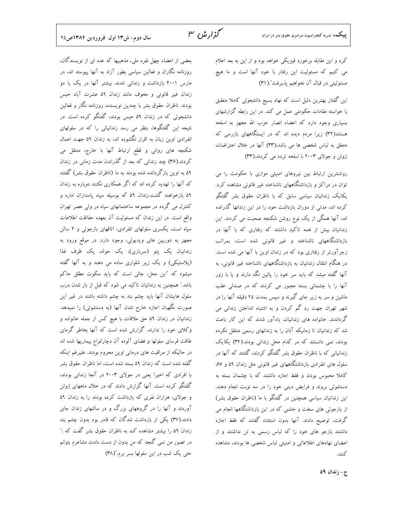کرد و این مقابله برخورد فیزیکی خواهد بود و از این به بعد اعلام می کنیم که مسئولیت این رفتار با خود آنها است و ما هیچ مسئوليتي در قبال آن نخواهيم پذيرفت".(٣١)

گزارش ۳

این گفتار بهترین دلیل است که نهاد بسیج دانشجوئی کاملا منطبق با خواسته مقامات حکومتی عمل می کند. در این رابطه گزارشهای بسیاری وجود دارد که اعضاء انصار حزب الله مجهز به اسلحه هستند(۳۲) زیرا مردم دیده اند که در ایستگاههای بازرسی که متعلق به لباس شخصی ها می باشد،(۳۳) آنها در خلال اعتراضات ژوئن و جولای ۲۰۰۳ با اسلحه تردد می کردند.(۳۳)

روشنترین ارتباط بین نیروهای امنیتی موازی با حکومت را می توان در مراکز و بازداشتگاههای ناشناخته غیر قانونی مشاهده کرد. یکایک زندانیان سیاسی سابق که با ناظران حقوق بشر گفتگو کرده اند، مدتی از دوران بازداشت خود را در این زندانها گذرانده اند، آنها همگی از یک نوع روشن شکنجه صحبت می کردند. این زندانیان بیش از همه تاکید داشتند که رفتاری که با آنها در بازداشتگاههای ناشناخته و غیر قانونی شده است، بمراتب زجرآورتر از رفتاری بود که در زندان اوین با آنها می شده است. در هنگام انتقال زندانیان به بازداشتگاههای ناشناخته غیر قانونی، به آنها گفته میشد که باید سر خود را یائین نگه دارند و یا با زور ۔<br>آنها را با چشمانی بسته مجبور می کردند که در صندل<sub>ی</sub> عقب ماشین و سر به زیر جای گیرند و سپس بمدت ۴۵ دقیقه آنها را در شهر تهران جهت رد گم کردن و به اشتباه انداختن زندانی می گرداندند. خانواده های زندانیان، یادآور شدند که این کار باعث شد که زندانیان تا زمانیکه آنان را به زندانهای رسمی منتقل نکرده بودند، نمی دانستند که در کدام محل زندانی بودند.(۳۴) یکایک زندانیانی که با ناظران حقوق بشر گفتگو کردند، گفتند که آنها در سلول های انفرادی بازداشتگاههای غیر قانونی مثل زندان ۵۹ و ۶۶، کاملا محبوس بودند و فقط اجازه داشتند که با چشمان بسته به دستشوئی بروند و فرایض دینی خود را در سه نوبت انجام دهند. این زندانیان سیاسی همچنین در گفتگو با ما (ناظران حقوق بشر) از بازجوئی های سخت و خشنی که در این بازداشتگاهها انجام می گرفت، توضیح دادند. آنها بدون استثناء گفتند که فقط اجازه داشتند بازجو های خود را که لباس رسمی به تن نداشتند و از اعضای نهادهای اطلاعاتی و امنیتی لباس شخصی ها بودند، مشاهده كنند.

بعضی از اعضاء چهل نفره ملی، مذهبیها که عده ای از نویسندگان، روزنامه نگاران و فعالین سیاسی بطور آزاد به آنها پیوسته اند، در مارس ۲۰۰۱ بازداشت و زندانی شدند. بیشتر آنها در یک یا دو زندان غیر قانونی و مخوف مانند زندان ۵۹ عشرت آباد حبس بودند. ناظران حقوق بشر با چندین نویسنده، روزنامه نگار و فعالین دانشجوئی که در زندان ۵۹ حبس بودند، گفتگو کرده است. در نتیجه این گفتگوها، بنظر می رسد زندانیانی را که در سلولهای انفرادی اوین زبان به اقرار نگشوده اند، به زندان ۵۹ جهت اعمال شکنجه های روانی و قطع ارتباط آنها با خارج، منتقل می کردند.(۳۶) چند زندانی که بعد از گذراندن مدت زمانی در زندان ۵۹ به اوین بازگردانده شده بودند به ما (ناظران حقوق بشر) گفتند که آنها را تهدید کرده اند که اگر همکاری نکنند دوباره به زندان ۵۹ بازخواهند گشت.زندان ۵۹ که بوسیله سیاه یاسداران اداره و کنترل می گردد در مجموعه ساختمانهای سپاه در ولی عصر تهران واقع است. در این زندان که مسئولیت آن بعهده حفاظت اطلاعات سپاه است، یکسری سلولهای انفرادی، اتاقهای بازجوئی و ۲ سالن مجهز به دوربین های ویدیوئی، وجود دارد. در موقع ورود به زندانیان یک پتو (سربازی)، یک حوله، یک ظرف غذا (پلاستیکی) و یک زیر شلواری ساده می دهند و به آنها گفته میشود که "این محل، جائی است که باید سکوت مطلق حاکم باشد." همچنین به زندانیان تاکید می شود که قبل از باز شدن درب سلول هایشان آنها باید چشم بند به چشم داشته باشند در غیر این صورت نگهبان اجازه خارج شدن آنها (به دستشوئی) را نمیدهد. زندانیان در زندان ۵۹ حق ملاقات با هیچ کس از جمله خانواده و وکلای خود را ندارند. گزارش شده است که آنها بخاطر گرمای طاقت فرسای سلولها و فضای آلوده آن دچارانواع بیماریها شده اند در حالیکه از مراقبت های درمانی اوین محروم بودند. علیرغم اینکه گفته شده است که زندان ۵۹ بسته شده است، اما ناظران حقوق بشر با افرادی که اخیرا یعنی در جولای ۲۰۰۳ در آنجا زندانی بودند، گفتگو کرده است. آنها گزارش دادند که در خلال ماههای ژوئن و جولای، هزاران نفری که بازداشت کرده بودند را به زندان ۵۹ آوردند و آنها را در گروههای بزرگ و در سالنهای زندان جای دادند.(۳۷) یکی از بازداشت شدگان که قادر بود بدون چشم بند زندان ۵۹ را بیشتر مشاهده کند به ناظران حقوق بشر گفت که :" در تصور من نمی گنجد که من بدون از دست دادت مشاعرم بتوانم حتی یک شب در این سلولها بسر برم."(۳۸)

ج-زندان ۵۹